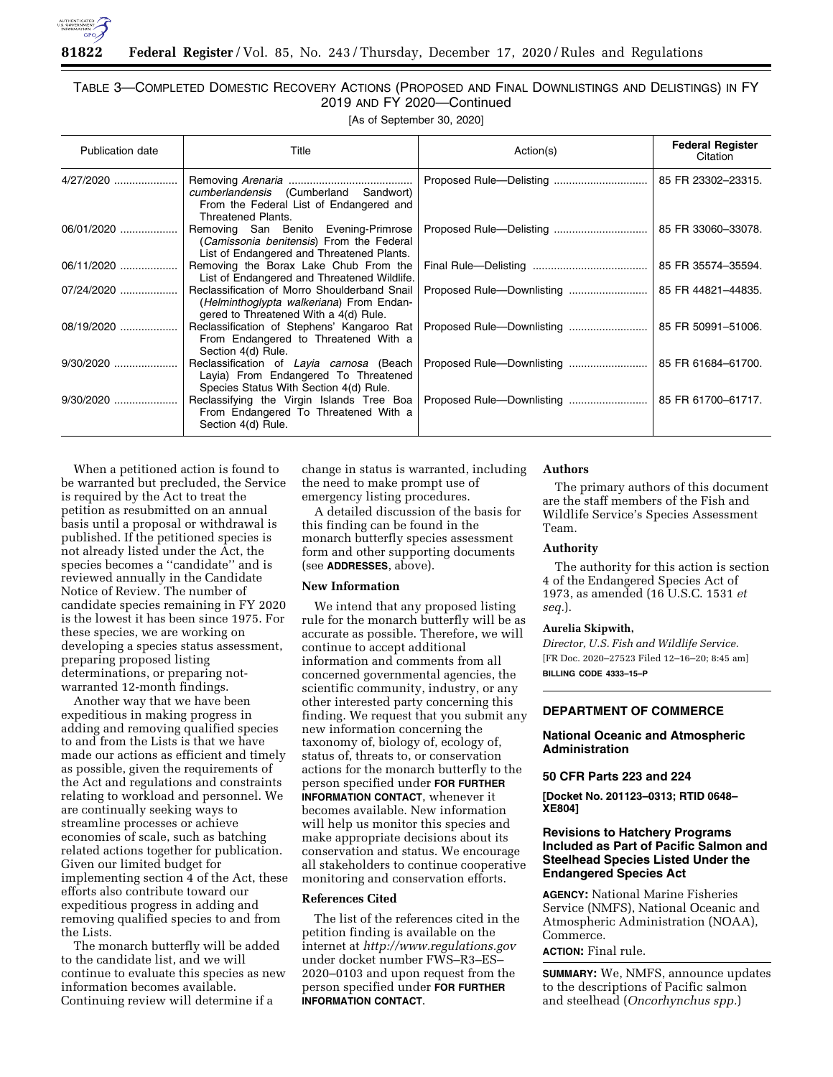

# TABLE 3—COMPLETED DOMESTIC RECOVERY ACTIONS (PROPOSED AND FINAL DOWNLISTINGS AND DELISTINGS) IN FY 2019 AND FY 2020—Continued

[As of September 30, 2020]

| <b>Publication date</b> | Title                                                                                                                             | Action(s) | <b>Federal Register</b><br>Citation |
|-------------------------|-----------------------------------------------------------------------------------------------------------------------------------|-----------|-------------------------------------|
| 4/27/2020               | cumberlandensis (Cumberland Sandwort)<br>From the Federal List of Endangered and<br><b>Threatened Plants.</b>                     |           | 85 FR 23302-23315.                  |
| 06/01/2020              | Removing San Benito Evening-Primrose<br>(Camissonia benitensis) From the Federal<br>List of Endangered and Threatened Plants.     |           | 85 FR 33060-33078.                  |
| 06/11/2020              | Removing the Borax Lake Chub From the<br>List of Endangered and Threatened Wildlife.                                              |           | 85 FR 35574-35594.                  |
| 07/24/2020              | Reclassification of Morro Shoulderband Snail<br>(Helminthoglypta walkeriana) From Endan-<br>gered to Threatened With a 4(d) Rule. |           | 85 FR 44821-44835.                  |
| 08/19/2020              | Reclassification of Stephens' Kangaroo Rat<br>From Endangered to Threatened With a<br>Section 4(d) Rule.                          |           | 85 FR 50991-51006.                  |
|                         | Reclassification of Layia carnosa (Beach<br>Layia) From Endangered To Threatened<br>Species Status With Section 4(d) Rule.        |           | 85 FR 61684-61700.                  |
|                         | Reclassifying the Virgin Islands Tree Boa<br>From Endangered To Threatened With a<br>Section 4(d) Rule.                           |           | 85 FR 61700-61717.                  |

When a petitioned action is found to be warranted but precluded, the Service is required by the Act to treat the petition as resubmitted on an annual basis until a proposal or withdrawal is published. If the petitioned species is not already listed under the Act, the species becomes a ''candidate'' and is reviewed annually in the Candidate Notice of Review. The number of candidate species remaining in FY 2020 is the lowest it has been since 1975. For these species, we are working on developing a species status assessment, preparing proposed listing determinations, or preparing notwarranted 12-month findings.

Another way that we have been expeditious in making progress in adding and removing qualified species to and from the Lists is that we have made our actions as efficient and timely as possible, given the requirements of the Act and regulations and constraints relating to workload and personnel. We are continually seeking ways to streamline processes or achieve economies of scale, such as batching related actions together for publication. Given our limited budget for implementing section 4 of the Act, these efforts also contribute toward our expeditious progress in adding and removing qualified species to and from the Lists.

The monarch butterfly will be added to the candidate list, and we will continue to evaluate this species as new information becomes available. Continuing review will determine if a

change in status is warranted, including the need to make prompt use of emergency listing procedures.

A detailed discussion of the basis for this finding can be found in the monarch butterfly species assessment form and other supporting documents (see **ADDRESSES**, above).

#### **New Information**

We intend that any proposed listing rule for the monarch butterfly will be as accurate as possible. Therefore, we will continue to accept additional information and comments from all concerned governmental agencies, the scientific community, industry, or any other interested party concerning this finding. We request that you submit any new information concerning the taxonomy of, biology of, ecology of, status of, threats to, or conservation actions for the monarch butterfly to the person specified under **FOR FURTHER INFORMATION CONTACT**, whenever it becomes available. New information will help us monitor this species and make appropriate decisions about its conservation and status. We encourage all stakeholders to continue cooperative monitoring and conservation efforts.

# **References Cited**

The list of the references cited in the petition finding is available on the internet at *<http://www.regulations.gov>*  under docket number FWS–R3–ES– 2020–0103 and upon request from the person specified under **FOR FURTHER INFORMATION CONTACT**.

#### **Authors**

The primary authors of this document are the staff members of the Fish and Wildlife Service's Species Assessment Team.

### **Authority**

The authority for this action is section 4 of the Endangered Species Act of 1973, as amended (16 U.S.C. 1531 *et seq.*).

#### **Aurelia Skipwith,**

*Director, U.S. Fish and Wildlife Service.*  [FR Doc. 2020–27523 Filed 12–16–20; 8:45 am] **BILLING CODE 4333–15–P** 

# **DEPARTMENT OF COMMERCE**

# **National Oceanic and Atmospheric Administration**

# **50 CFR Parts 223 and 224**

**[Docket No. 201123–0313; RTID 0648– XE804]** 

# **Revisions to Hatchery Programs Included as Part of Pacific Salmon and Steelhead Species Listed Under the Endangered Species Act**

**AGENCY:** National Marine Fisheries Service (NMFS), National Oceanic and Atmospheric Administration (NOAA), Commerce.

# **ACTION:** Final rule.

**SUMMARY:** We, NMFS, announce updates to the descriptions of Pacific salmon and steelhead (*Oncorhynchus spp.*)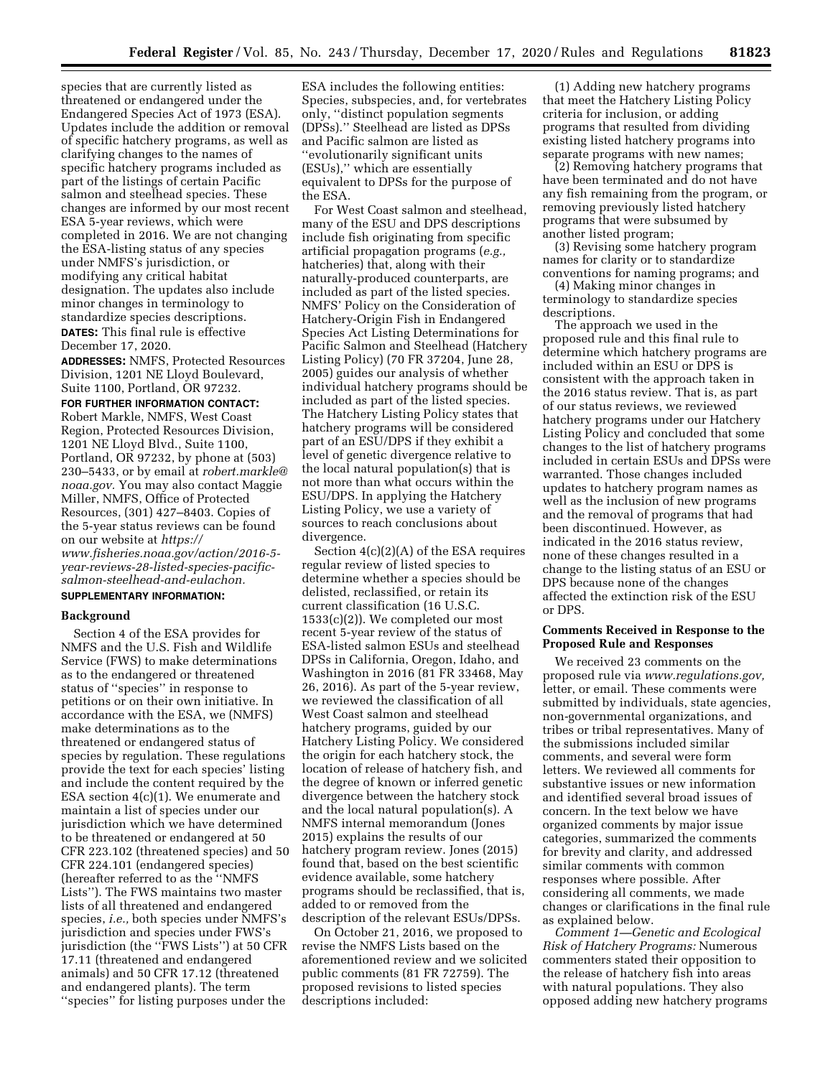species that are currently listed as threatened or endangered under the Endangered Species Act of 1973 (ESA). Updates include the addition or removal of specific hatchery programs, as well as clarifying changes to the names of specific hatchery programs included as part of the listings of certain Pacific salmon and steelhead species. These changes are informed by our most recent ESA 5-year reviews, which were completed in 2016. We are not changing the ESA-listing status of any species under NMFS's jurisdiction, or modifying any critical habitat designation. The updates also include minor changes in terminology to standardize species descriptions. **DATES:** This final rule is effective

December 17, 2020.

**ADDRESSES:** NMFS, Protected Resources Division, 1201 NE Lloyd Boulevard, Suite 1100, Portland, OR 97232.

**FOR FURTHER INFORMATION CONTACT:**  Robert Markle, NMFS, West Coast Region, Protected Resources Division, 1201 NE Lloyd Blvd., Suite 1100, Portland, OR 97232, by phone at (503) 230–5433, or by email at *[robert.markle@](mailto:robert.markle@noaa.gov) [noaa.gov.](mailto:robert.markle@noaa.gov)* You may also contact Maggie Miller, NMFS, Office of Protected Resources, (301) 427–8403. Copies of the 5-year status reviews can be found on our website at *[https://](https://www.fisheries.noaa.gov/action/2016-5-year-reviews-28-listed-species-pacific-salmon-steelhead-and-eulachon) [www.fisheries.noaa.gov/action/2016-5](https://www.fisheries.noaa.gov/action/2016-5-year-reviews-28-listed-species-pacific-salmon-steelhead-and-eulachon) [year-reviews-28-listed-species-pacific](https://www.fisheries.noaa.gov/action/2016-5-year-reviews-28-listed-species-pacific-salmon-steelhead-and-eulachon)[salmon-steelhead-and-eulachon.](https://www.fisheries.noaa.gov/action/2016-5-year-reviews-28-listed-species-pacific-salmon-steelhead-and-eulachon)* 

# **SUPPLEMENTARY INFORMATION:**

#### **Background**

Section 4 of the ESA provides for NMFS and the U.S. Fish and Wildlife Service (FWS) to make determinations as to the endangered or threatened status of ''species'' in response to petitions or on their own initiative. In accordance with the ESA, we (NMFS) make determinations as to the threatened or endangered status of species by regulation. These regulations provide the text for each species' listing and include the content required by the ESA section 4(c)(1). We enumerate and maintain a list of species under our jurisdiction which we have determined to be threatened or endangered at 50 CFR 223.102 (threatened species) and 50 CFR 224.101 (endangered species) (hereafter referred to as the ''NMFS Lists''). The FWS maintains two master lists of all threatened and endangered species, *i.e.,* both species under NMFS's jurisdiction and species under FWS's jurisdiction (the ''FWS Lists'') at 50 CFR 17.11 (threatened and endangered animals) and 50 CFR 17.12 (threatened and endangered plants). The term ''species'' for listing purposes under the

ESA includes the following entities: Species, subspecies, and, for vertebrates only, ''distinct population segments (DPSs).'' Steelhead are listed as DPSs and Pacific salmon are listed as ''evolutionarily significant units (ESUs),'' which are essentially equivalent to DPSs for the purpose of the ESA.

For West Coast salmon and steelhead, many of the ESU and DPS descriptions include fish originating from specific artificial propagation programs (*e.g.,*  hatcheries) that, along with their naturally-produced counterparts, are included as part of the listed species. NMFS' Policy on the Consideration of Hatchery-Origin Fish in Endangered Species Act Listing Determinations for Pacific Salmon and Steelhead (Hatchery Listing Policy) (70 FR 37204, June 28, 2005) guides our analysis of whether individual hatchery programs should be included as part of the listed species. The Hatchery Listing Policy states that hatchery programs will be considered part of an ESU/DPS if they exhibit a level of genetic divergence relative to the local natural population(s) that is not more than what occurs within the ESU/DPS. In applying the Hatchery Listing Policy, we use a variety of sources to reach conclusions about divergence.

Section 4(c)(2)(A) of the ESA requires regular review of listed species to determine whether a species should be delisted, reclassified, or retain its current classification (16 U.S.C. 1533(c)(2)). We completed our most recent 5-year review of the status of ESA-listed salmon ESUs and steelhead DPSs in California, Oregon, Idaho, and Washington in 2016 (81 FR 33468, May 26, 2016). As part of the 5-year review, we reviewed the classification of all West Coast salmon and steelhead hatchery programs, guided by our Hatchery Listing Policy. We considered the origin for each hatchery stock, the location of release of hatchery fish, and the degree of known or inferred genetic divergence between the hatchery stock and the local natural population(s). A NMFS internal memorandum (Jones 2015) explains the results of our hatchery program review. Jones (2015) found that, based on the best scientific evidence available, some hatchery programs should be reclassified, that is, added to or removed from the description of the relevant ESUs/DPSs.

On October 21, 2016, we proposed to revise the NMFS Lists based on the aforementioned review and we solicited public comments (81 FR 72759). The proposed revisions to listed species descriptions included:

(1) Adding new hatchery programs that meet the Hatchery Listing Policy criteria for inclusion, or adding programs that resulted from dividing existing listed hatchery programs into separate programs with new names;

(2) Removing hatchery programs that have been terminated and do not have any fish remaining from the program, or removing previously listed hatchery programs that were subsumed by another listed program;

(3) Revising some hatchery program names for clarity or to standardize conventions for naming programs; and

(4) Making minor changes in terminology to standardize species descriptions.

The approach we used in the proposed rule and this final rule to determine which hatchery programs are included within an ESU or DPS is consistent with the approach taken in the 2016 status review. That is, as part of our status reviews, we reviewed hatchery programs under our Hatchery Listing Policy and concluded that some changes to the list of hatchery programs included in certain ESUs and DPSs were warranted. Those changes included updates to hatchery program names as well as the inclusion of new programs and the removal of programs that had been discontinued. However, as indicated in the 2016 status review, none of these changes resulted in a change to the listing status of an ESU or DPS because none of the changes affected the extinction risk of the ESU or DPS.

# **Comments Received in Response to the Proposed Rule and Responses**

We received 23 comments on the proposed rule via *[www.regulations.gov,](http://www.regulations.gov)*  letter, or email. These comments were submitted by individuals, state agencies, non-governmental organizations, and tribes or tribal representatives. Many of the submissions included similar comments, and several were form letters. We reviewed all comments for substantive issues or new information and identified several broad issues of concern. In the text below we have organized comments by major issue categories, summarized the comments for brevity and clarity, and addressed similar comments with common responses where possible. After considering all comments, we made changes or clarifications in the final rule as explained below.

*Comment 1—Genetic and Ecological Risk of Hatchery Programs:* Numerous commenters stated their opposition to the release of hatchery fish into areas with natural populations. They also opposed adding new hatchery programs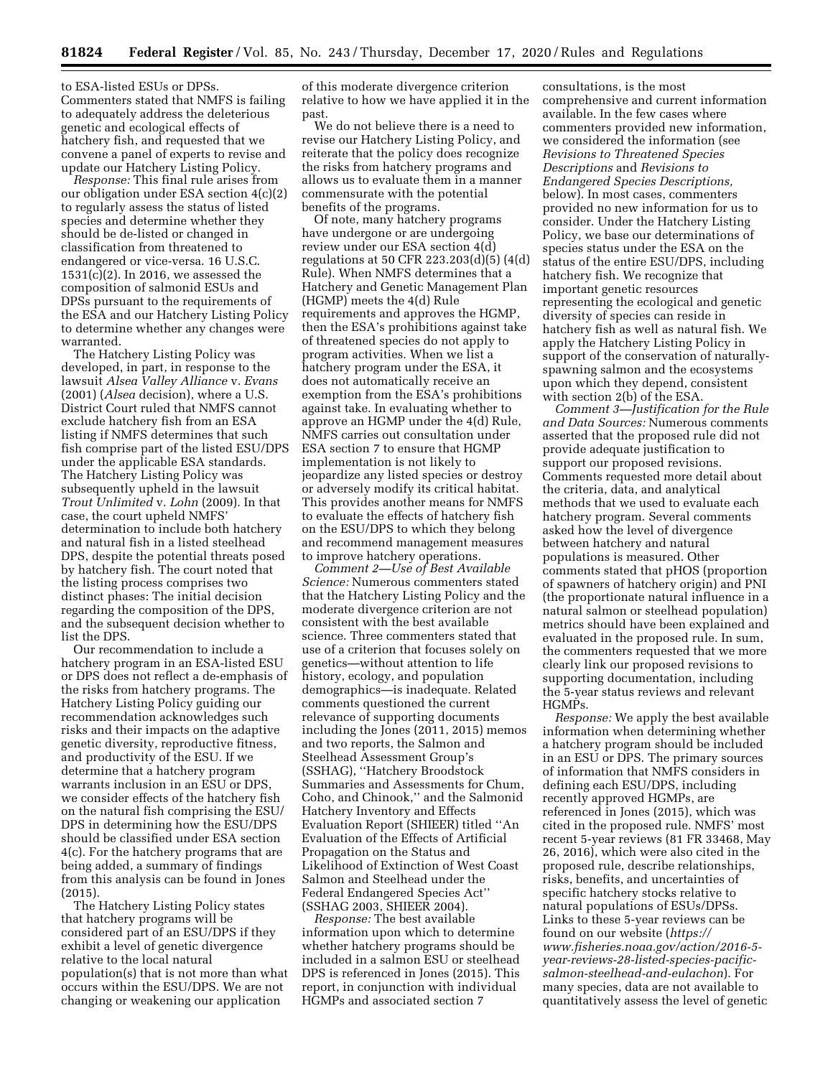to ESA-listed ESUs or DPSs. Commenters stated that NMFS is failing to adequately address the deleterious genetic and ecological effects of hatchery fish, and requested that we convene a panel of experts to revise and update our Hatchery Listing Policy.

*Response:* This final rule arises from our obligation under ESA section 4(c)(2) to regularly assess the status of listed species and determine whether they should be de-listed or changed in classification from threatened to endangered or vice-versa. 16 U.S.C. 1531(c)(2). In 2016, we assessed the composition of salmonid ESUs and DPSs pursuant to the requirements of the ESA and our Hatchery Listing Policy to determine whether any changes were warranted.

The Hatchery Listing Policy was developed, in part, in response to the lawsuit *Alsea Valley Alliance* v. *Evans*  (2001) (*Alsea* decision), where a U.S. District Court ruled that NMFS cannot exclude hatchery fish from an ESA listing if NMFS determines that such fish comprise part of the listed ESU/DPS under the applicable ESA standards. The Hatchery Listing Policy was subsequently upheld in the lawsuit *Trout Unlimited* v. *Lohn* (2009). In that case, the court upheld NMFS' determination to include both hatchery and natural fish in a listed steelhead DPS, despite the potential threats posed by hatchery fish. The court noted that the listing process comprises two distinct phases: The initial decision regarding the composition of the DPS, and the subsequent decision whether to list the DPS.

Our recommendation to include a hatchery program in an ESA-listed ESU or DPS does not reflect a de-emphasis of the risks from hatchery programs. The Hatchery Listing Policy guiding our recommendation acknowledges such risks and their impacts on the adaptive genetic diversity, reproductive fitness, and productivity of the ESU. If we determine that a hatchery program warrants inclusion in an ESU or DPS, we consider effects of the hatchery fish on the natural fish comprising the ESU/ DPS in determining how the ESU/DPS should be classified under ESA section 4(c). For the hatchery programs that are being added, a summary of findings from this analysis can be found in Jones (2015).

The Hatchery Listing Policy states that hatchery programs will be considered part of an ESU/DPS if they exhibit a level of genetic divergence relative to the local natural population(s) that is not more than what occurs within the ESU/DPS. We are not changing or weakening our application

of this moderate divergence criterion relative to how we have applied it in the past.

We do not believe there is a need to revise our Hatchery Listing Policy, and reiterate that the policy does recognize the risks from hatchery programs and allows us to evaluate them in a manner commensurate with the potential benefits of the programs.

Of note, many hatchery programs have undergone or are undergoing review under our ESA section 4(d) regulations at 50 CFR 223.203(d)(5) (4(d) Rule). When NMFS determines that a Hatchery and Genetic Management Plan (HGMP) meets the 4(d) Rule requirements and approves the HGMP, then the ESA's prohibitions against take of threatened species do not apply to program activities. When we list a hatchery program under the ESA, it does not automatically receive an exemption from the ESA's prohibitions against take. In evaluating whether to approve an HGMP under the 4(d) Rule, NMFS carries out consultation under ESA section 7 to ensure that HGMP implementation is not likely to jeopardize any listed species or destroy or adversely modify its critical habitat. This provides another means for NMFS to evaluate the effects of hatchery fish on the ESU/DPS to which they belong and recommend management measures to improve hatchery operations.

*Comment 2—Use of Best Available Science:* Numerous commenters stated that the Hatchery Listing Policy and the moderate divergence criterion are not consistent with the best available science. Three commenters stated that use of a criterion that focuses solely on genetics—without attention to life history, ecology, and population demographics—is inadequate. Related comments questioned the current relevance of supporting documents including the Jones (2011, 2015) memos and two reports, the Salmon and Steelhead Assessment Group's (SSHAG), ''Hatchery Broodstock Summaries and Assessments for Chum, Coho, and Chinook,'' and the Salmonid Hatchery Inventory and Effects Evaluation Report (SHIEER) titled ''An Evaluation of the Effects of Artificial Propagation on the Status and Likelihood of Extinction of West Coast Salmon and Steelhead under the Federal Endangered Species Act'' (SSHAG 2003, SHIEER 2004).

*Response:* The best available information upon which to determine whether hatchery programs should be included in a salmon ESU or steelhead DPS is referenced in Jones (2015). This report, in conjunction with individual HGMPs and associated section 7

consultations, is the most comprehensive and current information available. In the few cases where commenters provided new information, we considered the information (see *Revisions to Threatened Species Descriptions* and *Revisions to Endangered Species Descriptions,*  below). In most cases, commenters provided no new information for us to consider. Under the Hatchery Listing Policy, we base our determinations of species status under the ESA on the status of the entire ESU/DPS, including hatchery fish. We recognize that important genetic resources representing the ecological and genetic diversity of species can reside in hatchery fish as well as natural fish. We apply the Hatchery Listing Policy in support of the conservation of naturallyspawning salmon and the ecosystems upon which they depend, consistent with section 2(b) of the ESA.

*Comment 3—Justification for the Rule and Data Sources:* Numerous comments asserted that the proposed rule did not provide adequate justification to support our proposed revisions. Comments requested more detail about the criteria, data, and analytical methods that we used to evaluate each hatchery program. Several comments asked how the level of divergence between hatchery and natural populations is measured. Other comments stated that pHOS (proportion of spawners of hatchery origin) and PNI (the proportionate natural influence in a natural salmon or steelhead population) metrics should have been explained and evaluated in the proposed rule. In sum, the commenters requested that we more clearly link our proposed revisions to supporting documentation, including the 5-year status reviews and relevant HGMPs.

*Response:* We apply the best available information when determining whether a hatchery program should be included in an ESU or DPS. The primary sources of information that NMFS considers in defining each ESU/DPS, including recently approved HGMPs, are referenced in Jones (2015), which was cited in the proposed rule. NMFS' most recent 5-year reviews (81 FR 33468, May 26, 2016), which were also cited in the proposed rule, describe relationships, risks, benefits, and uncertainties of specific hatchery stocks relative to natural populations of ESUs/DPSs. Links to these 5-year reviews can be found on our website (*[https://](https://www.fisheries.noaa.gov/action/2016-5-year-reviews-28-listed-species-pacific-salmon-steelhead-and-eulachon) [www.fisheries.noaa.gov/action/2016-5](https://www.fisheries.noaa.gov/action/2016-5-year-reviews-28-listed-species-pacific-salmon-steelhead-and-eulachon) [year-reviews-28-listed-species-pacific](https://www.fisheries.noaa.gov/action/2016-5-year-reviews-28-listed-species-pacific-salmon-steelhead-and-eulachon)[salmon-steelhead-and-eulachon](https://www.fisheries.noaa.gov/action/2016-5-year-reviews-28-listed-species-pacific-salmon-steelhead-and-eulachon)*). For many species, data are not available to quantitatively assess the level of genetic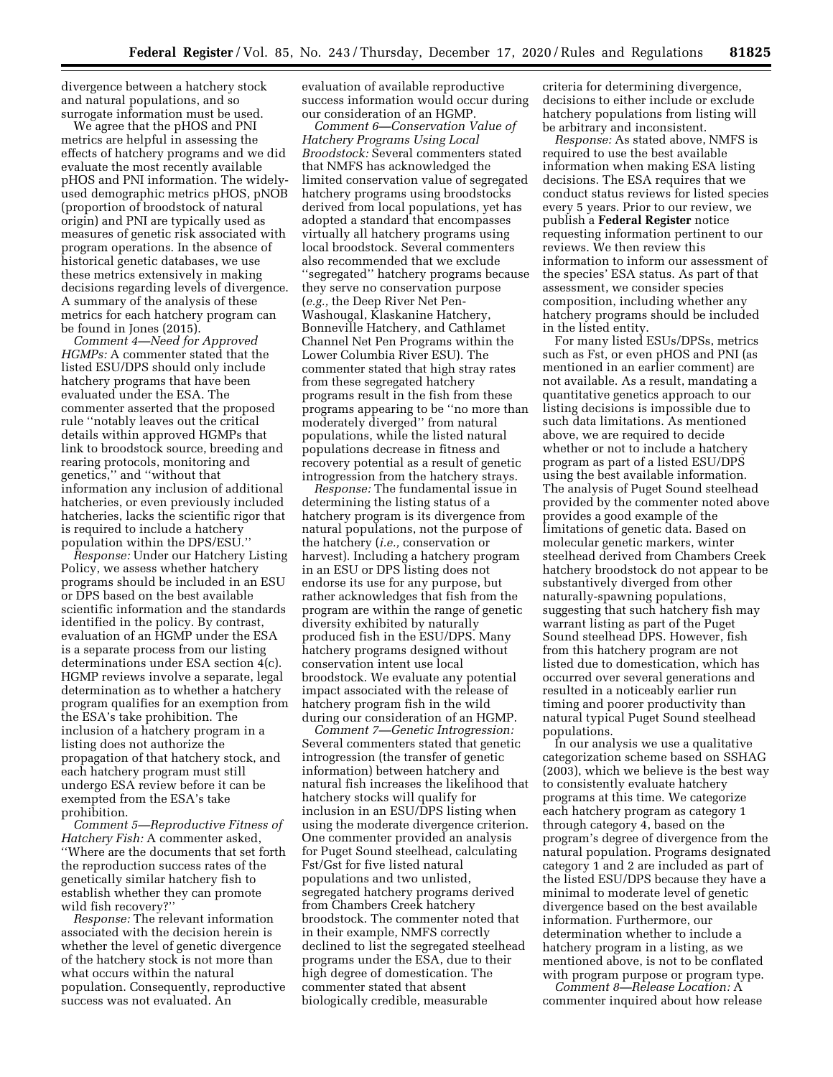divergence between a hatchery stock and natural populations, and so surrogate information must be used.

We agree that the pHOS and PNI metrics are helpful in assessing the effects of hatchery programs and we did evaluate the most recently available pHOS and PNI information. The widelyused demographic metrics pHOS, pNOB (proportion of broodstock of natural origin) and PNI are typically used as measures of genetic risk associated with program operations. In the absence of historical genetic databases, we use these metrics extensively in making decisions regarding levels of divergence. A summary of the analysis of these metrics for each hatchery program can be found in Jones (2015).

*Comment 4—Need for Approved HGMPs:* A commenter stated that the listed ESU/DPS should only include hatchery programs that have been evaluated under the ESA. The commenter asserted that the proposed rule ''notably leaves out the critical details within approved HGMPs that link to broodstock source, breeding and rearing protocols, monitoring and genetics,'' and ''without that information any inclusion of additional hatcheries, or even previously included hatcheries, lacks the scientific rigor that is required to include a hatchery population within the DPS/ESU.''

*Response:* Under our Hatchery Listing Policy, we assess whether hatchery programs should be included in an ESU or DPS based on the best available scientific information and the standards identified in the policy. By contrast, evaluation of an HGMP under the ESA is a separate process from our listing determinations under ESA section 4(c). HGMP reviews involve a separate, legal determination as to whether a hatchery program qualifies for an exemption from the ESA's take prohibition. The inclusion of a hatchery program in a listing does not authorize the propagation of that hatchery stock, and each hatchery program must still undergo ESA review before it can be exempted from the ESA's take prohibition.

*Comment 5—Reproductive Fitness of Hatchery Fish:* A commenter asked, ''Where are the documents that set forth the reproduction success rates of the genetically similar hatchery fish to establish whether they can promote wild fish recovery?''

*Response:* The relevant information associated with the decision herein is whether the level of genetic divergence of the hatchery stock is not more than what occurs within the natural population. Consequently, reproductive success was not evaluated. An

evaluation of available reproductive success information would occur during our consideration of an HGMP.

*Comment 6—Conservation Value of Hatchery Programs Using Local Broodstock:* Several commenters stated that NMFS has acknowledged the limited conservation value of segregated hatchery programs using broodstocks derived from local populations, yet has adopted a standard that encompasses virtually all hatchery programs using local broodstock. Several commenters also recommended that we exclude ''segregated'' hatchery programs because they serve no conservation purpose (*e.g.,* the Deep River Net Pen-Washougal, Klaskanine Hatchery, Bonneville Hatchery, and Cathlamet Channel Net Pen Programs within the Lower Columbia River ESU). The commenter stated that high stray rates from these segregated hatchery programs result in the fish from these programs appearing to be ''no more than moderately diverged'' from natural populations, while the listed natural populations decrease in fitness and recovery potential as a result of genetic introgression from the hatchery strays.

*Response:* The fundamental issue in determining the listing status of a hatchery program is its divergence from natural populations, not the purpose of the hatchery (*i.e.,* conservation or harvest). Including a hatchery program in an ESU or DPS listing does not endorse its use for any purpose, but rather acknowledges that fish from the program are within the range of genetic diversity exhibited by naturally produced fish in the ESU/DPS. Many hatchery programs designed without conservation intent use local broodstock. We evaluate any potential impact associated with the release of hatchery program fish in the wild during our consideration of an HGMP.

*Comment 7—Genetic Introgression:*  Several commenters stated that genetic introgression (the transfer of genetic information) between hatchery and natural fish increases the likelihood that hatchery stocks will qualify for inclusion in an ESU/DPS listing when using the moderate divergence criterion. One commenter provided an analysis for Puget Sound steelhead, calculating Fst/Gst for five listed natural populations and two unlisted, segregated hatchery programs derived from Chambers Creek hatchery broodstock. The commenter noted that in their example, NMFS correctly declined to list the segregated steelhead programs under the ESA, due to their high degree of domestication. The commenter stated that absent biologically credible, measurable

criteria for determining divergence, decisions to either include or exclude hatchery populations from listing will be arbitrary and inconsistent.

*Response:* As stated above, NMFS is required to use the best available information when making ESA listing decisions. The ESA requires that we conduct status reviews for listed species every 5 years. Prior to our review, we publish a **Federal Register** notice requesting information pertinent to our reviews. We then review this information to inform our assessment of the species' ESA status. As part of that assessment, we consider species composition, including whether any hatchery programs should be included in the listed entity.

For many listed ESUs/DPSs, metrics such as Fst, or even pHOS and PNI (as mentioned in an earlier comment) are not available. As a result, mandating a quantitative genetics approach to our listing decisions is impossible due to such data limitations. As mentioned above, we are required to decide whether or not to include a hatchery program as part of a listed ESU/DPS using the best available information. The analysis of Puget Sound steelhead provided by the commenter noted above provides a good example of the limitations of genetic data. Based on molecular genetic markers, winter steelhead derived from Chambers Creek hatchery broodstock do not appear to be substantively diverged from other naturally-spawning populations, suggesting that such hatchery fish may warrant listing as part of the Puget Sound steelhead DPS. However, fish from this hatchery program are not listed due to domestication, which has occurred over several generations and resulted in a noticeably earlier run timing and poorer productivity than natural typical Puget Sound steelhead populations.

In our analysis we use a qualitative categorization scheme based on SSHAG (2003), which we believe is the best way to consistently evaluate hatchery programs at this time. We categorize each hatchery program as category 1 through category 4, based on the program's degree of divergence from the natural population. Programs designated category 1 and 2 are included as part of the listed ESU/DPS because they have a minimal to moderate level of genetic divergence based on the best available information. Furthermore, our determination whether to include a hatchery program in a listing, as we mentioned above, is not to be conflated with program purpose or program type.

*Comment 8—Release Location:* A commenter inquired about how release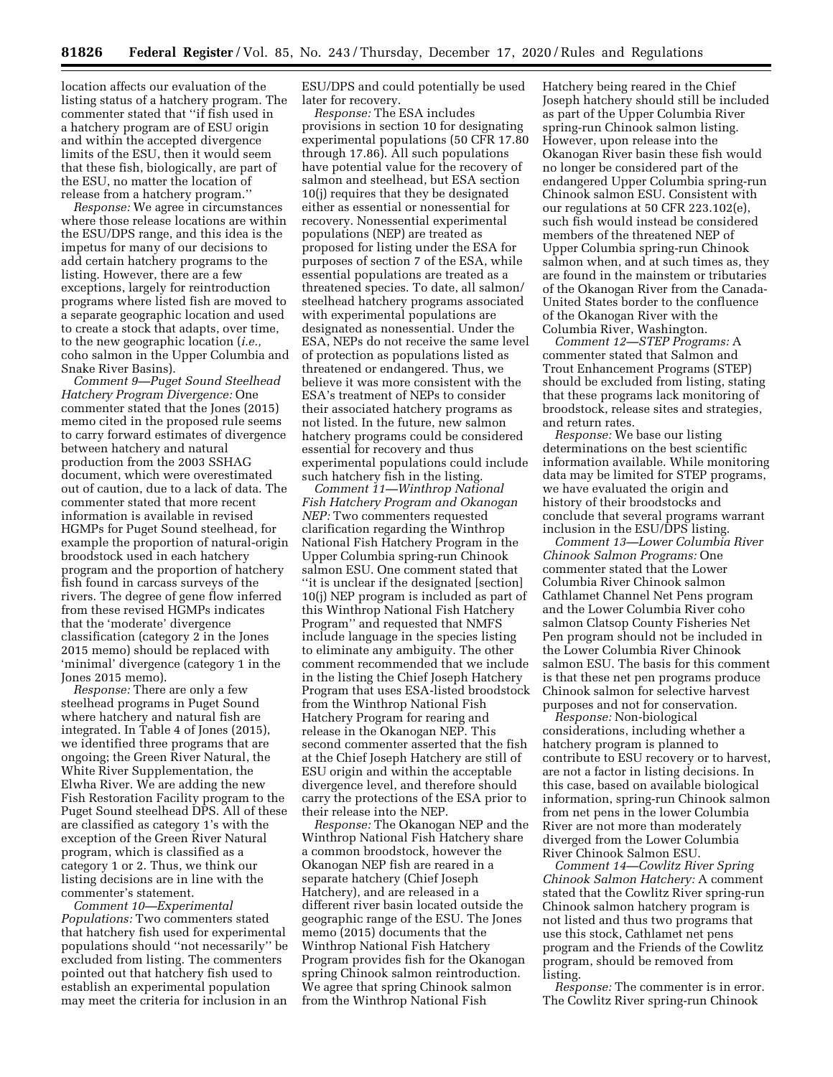location affects our evaluation of the listing status of a hatchery program. The commenter stated that ''if fish used in a hatchery program are of ESU origin and within the accepted divergence limits of the ESU, then it would seem that these fish, biologically, are part of the ESU, no matter the location of release from a hatchery program.''

*Response:* We agree in circumstances where those release locations are within the ESU/DPS range, and this idea is the impetus for many of our decisions to add certain hatchery programs to the listing. However, there are a few exceptions, largely for reintroduction programs where listed fish are moved to a separate geographic location and used to create a stock that adapts, over time, to the new geographic location (*i.e.,*  coho salmon in the Upper Columbia and Snake River Basins).

*Comment 9—Puget Sound Steelhead Hatchery Program Divergence:* One commenter stated that the Jones (2015) memo cited in the proposed rule seems to carry forward estimates of divergence between hatchery and natural production from the 2003 SSHAG document, which were overestimated out of caution, due to a lack of data. The commenter stated that more recent information is available in revised HGMPs for Puget Sound steelhead, for example the proportion of natural-origin broodstock used in each hatchery program and the proportion of hatchery fish found in carcass surveys of the rivers. The degree of gene flow inferred from these revised HGMPs indicates that the 'moderate' divergence classification (category 2 in the Jones 2015 memo) should be replaced with 'minimal' divergence (category 1 in the Jones 2015 memo).

*Response:* There are only a few steelhead programs in Puget Sound where hatchery and natural fish are integrated. In Table 4 of Jones (2015), we identified three programs that are ongoing; the Green River Natural, the White River Supplementation, the Elwha River. We are adding the new Fish Restoration Facility program to the Puget Sound steelhead DPS. All of these are classified as category 1's with the exception of the Green River Natural program, which is classified as a category 1 or 2. Thus, we think our listing decisions are in line with the commenter's statement.

*Comment 10—Experimental Populations:* Two commenters stated that hatchery fish used for experimental populations should ''not necessarily'' be excluded from listing. The commenters pointed out that hatchery fish used to establish an experimental population may meet the criteria for inclusion in an ESU/DPS and could potentially be used later for recovery.

*Response:* The ESA includes provisions in section 10 for designating experimental populations (50 CFR 17.80 through 17.86). All such populations have potential value for the recovery of salmon and steelhead, but ESA section 10(j) requires that they be designated either as essential or nonessential for recovery. Nonessential experimental populations (NEP) are treated as proposed for listing under the ESA for purposes of section 7 of the ESA, while essential populations are treated as a threatened species. To date, all salmon/ steelhead hatchery programs associated with experimental populations are designated as nonessential. Under the ESA, NEPs do not receive the same level of protection as populations listed as threatened or endangered. Thus, we believe it was more consistent with the ESA's treatment of NEPs to consider their associated hatchery programs as not listed. In the future, new salmon hatchery programs could be considered essential for recovery and thus experimental populations could include such hatchery fish in the listing.

*Comment 11—Winthrop National Fish Hatchery Program and Okanogan NEP:* Two commenters requested clarification regarding the Winthrop National Fish Hatchery Program in the Upper Columbia spring-run Chinook salmon ESU. One comment stated that ''it is unclear if the designated [section] 10(j) NEP program is included as part of this Winthrop National Fish Hatchery Program'' and requested that NMFS include language in the species listing to eliminate any ambiguity. The other comment recommended that we include in the listing the Chief Joseph Hatchery Program that uses ESA-listed broodstock from the Winthrop National Fish Hatchery Program for rearing and release in the Okanogan NEP. This second commenter asserted that the fish at the Chief Joseph Hatchery are still of ESU origin and within the acceptable divergence level, and therefore should carry the protections of the ESA prior to their release into the NEP.

*Response:* The Okanogan NEP and the Winthrop National Fish Hatchery share a common broodstock, however the Okanogan NEP fish are reared in a separate hatchery (Chief Joseph Hatchery), and are released in a different river basin located outside the geographic range of the ESU. The Jones memo (2015) documents that the Winthrop National Fish Hatchery Program provides fish for the Okanogan spring Chinook salmon reintroduction. We agree that spring Chinook salmon from the Winthrop National Fish

Hatchery being reared in the Chief Joseph hatchery should still be included as part of the Upper Columbia River spring-run Chinook salmon listing. However, upon release into the Okanogan River basin these fish would no longer be considered part of the endangered Upper Columbia spring-run Chinook salmon ESU. Consistent with our regulations at 50 CFR 223.102(e), such fish would instead be considered members of the threatened NEP of Upper Columbia spring-run Chinook salmon when, and at such times as, they are found in the mainstem or tributaries of the Okanogan River from the Canada-United States border to the confluence of the Okanogan River with the Columbia River, Washington.

*Comment 12—STEP Programs:* A commenter stated that Salmon and Trout Enhancement Programs (STEP) should be excluded from listing, stating that these programs lack monitoring of broodstock, release sites and strategies, and return rates.

*Response:* We base our listing determinations on the best scientific information available. While monitoring data may be limited for STEP programs, we have evaluated the origin and history of their broodstocks and conclude that several programs warrant inclusion in the ESU/DPS listing.

*Comment 13—Lower Columbia River Chinook Salmon Programs:* One commenter stated that the Lower Columbia River Chinook salmon Cathlamet Channel Net Pens program and the Lower Columbia River coho salmon Clatsop County Fisheries Net Pen program should not be included in the Lower Columbia River Chinook salmon ESU. The basis for this comment is that these net pen programs produce Chinook salmon for selective harvest purposes and not for conservation.

*Response:* Non-biological considerations, including whether a hatchery program is planned to contribute to ESU recovery or to harvest, are not a factor in listing decisions. In this case, based on available biological information, spring-run Chinook salmon from net pens in the lower Columbia River are not more than moderately diverged from the Lower Columbia River Chinook Salmon ESU.

*Comment 14—Cowlitz River Spring Chinook Salmon Hatchery:* A comment stated that the Cowlitz River spring-run Chinook salmon hatchery program is not listed and thus two programs that use this stock, Cathlamet net pens program and the Friends of the Cowlitz program, should be removed from listing.

*Response:* The commenter is in error. The Cowlitz River spring-run Chinook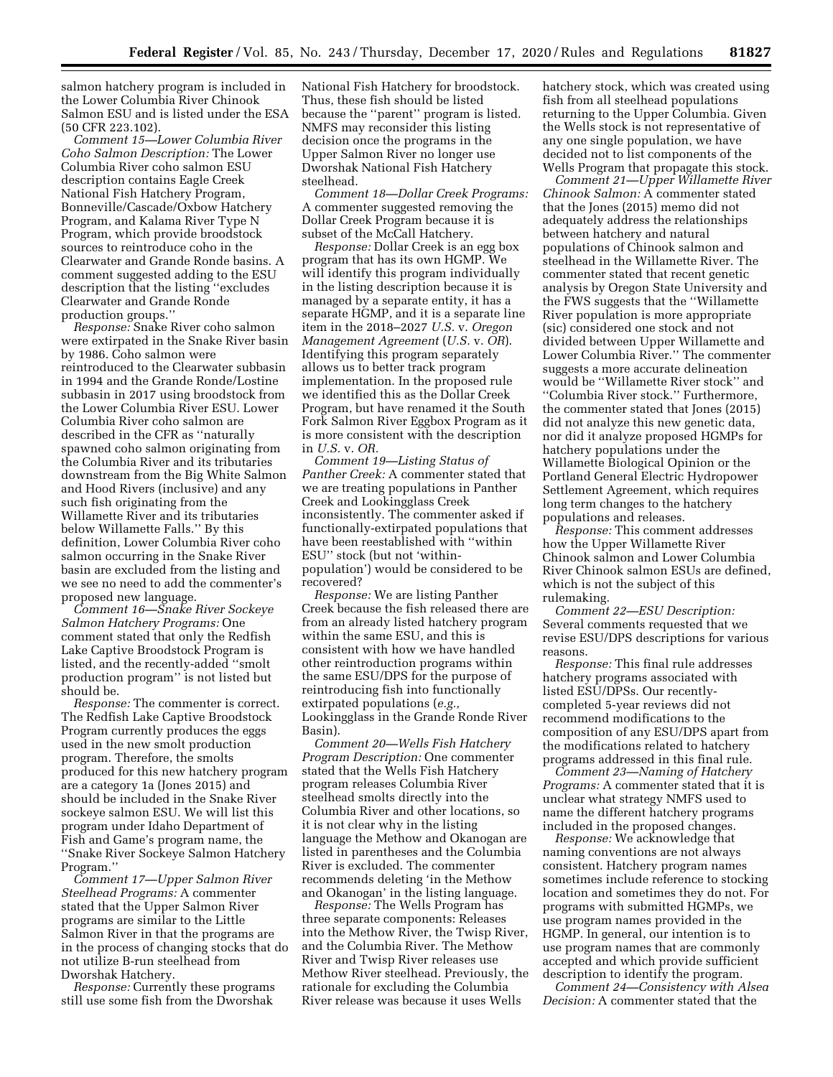salmon hatchery program is included in the Lower Columbia River Chinook Salmon ESU and is listed under the ESA (50 CFR 223.102).

*Comment 15—Lower Columbia River Coho Salmon Description:* The Lower Columbia River coho salmon ESU description contains Eagle Creek National Fish Hatchery Program, Bonneville/Cascade/Oxbow Hatchery Program, and Kalama River Type N Program, which provide broodstock sources to reintroduce coho in the Clearwater and Grande Ronde basins. A comment suggested adding to the ESU description that the listing ''excludes Clearwater and Grande Ronde production groups.''

*Response:* Snake River coho salmon were extirpated in the Snake River basin by 1986. Coho salmon were reintroduced to the Clearwater subbasin in 1994 and the Grande Ronde/Lostine subbasin in 2017 using broodstock from the Lower Columbia River ESU. Lower Columbia River coho salmon are described in the CFR as ''naturally spawned coho salmon originating from the Columbia River and its tributaries downstream from the Big White Salmon and Hood Rivers (inclusive) and any such fish originating from the Willamette River and its tributaries below Willamette Falls.'' By this definition, Lower Columbia River coho salmon occurring in the Snake River basin are excluded from the listing and we see no need to add the commenter's proposed new language.

*Comment 16—Snake River Sockeye Salmon Hatchery Programs:* One comment stated that only the Redfish Lake Captive Broodstock Program is listed, and the recently-added ''smolt production program'' is not listed but should be.

*Response:* The commenter is correct. The Redfish Lake Captive Broodstock Program currently produces the eggs used in the new smolt production program. Therefore, the smolts produced for this new hatchery program are a category 1a (Jones 2015) and should be included in the Snake River sockeye salmon ESU. We will list this program under Idaho Department of Fish and Game's program name, the ''Snake River Sockeye Salmon Hatchery Program.''

*Comment 17—Upper Salmon River Steelhead Programs:* A commenter stated that the Upper Salmon River programs are similar to the Little Salmon River in that the programs are in the process of changing stocks that do not utilize B-run steelhead from Dworshak Hatchery.

*Response:* Currently these programs still use some fish from the Dworshak

National Fish Hatchery for broodstock. Thus, these fish should be listed because the ''parent'' program is listed. NMFS may reconsider this listing decision once the programs in the Upper Salmon River no longer use Dworshak National Fish Hatchery steelhead.

*Comment 18—Dollar Creek Programs:*  A commenter suggested removing the Dollar Creek Program because it is subset of the McCall Hatchery.

*Response:* Dollar Creek is an egg box program that has its own HGMP. We will identify this program individually in the listing description because it is managed by a separate entity, it has a separate HGMP, and it is a separate line item in the 2018–2027 *U.S.* v. *Oregon Management Agreement* (*U.S.* v. *OR*). Identifying this program separately allows us to better track program implementation. In the proposed rule we identified this as the Dollar Creek Program, but have renamed it the South Fork Salmon River Eggbox Program as it is more consistent with the description in *U.S.* v. *OR.* 

*Comment 19—Listing Status of Panther Creek:* A commenter stated that we are treating populations in Panther Creek and Lookingglass Creek inconsistently. The commenter asked if functionally-extirpated populations that have been reestablished with ''within ESU'' stock (but not 'withinpopulation') would be considered to be recovered?

*Response:* We are listing Panther Creek because the fish released there are from an already listed hatchery program within the same ESU, and this is consistent with how we have handled other reintroduction programs within the same ESU/DPS for the purpose of reintroducing fish into functionally extirpated populations (*e.g.,*  Lookingglass in the Grande Ronde River Basin).

*Comment 20—Wells Fish Hatchery Program Description:* One commenter stated that the Wells Fish Hatchery program releases Columbia River steelhead smolts directly into the Columbia River and other locations, so it is not clear why in the listing language the Methow and Okanogan are listed in parentheses and the Columbia River is excluded. The commenter recommends deleting 'in the Methow and Okanogan' in the listing language.

*Response:* The Wells Program has three separate components: Releases into the Methow River, the Twisp River, and the Columbia River. The Methow River and Twisp River releases use Methow River steelhead. Previously, the rationale for excluding the Columbia River release was because it uses Wells

hatchery stock, which was created using fish from all steelhead populations returning to the Upper Columbia. Given the Wells stock is not representative of any one single population, we have decided not to list components of the Wells Program that propagate this stock.

*Comment 21—Upper Willamette River Chinook Salmon:* A commenter stated that the Jones (2015) memo did not adequately address the relationships between hatchery and natural populations of Chinook salmon and steelhead in the Willamette River. The commenter stated that recent genetic analysis by Oregon State University and the FWS suggests that the ''Willamette River population is more appropriate (sic) considered one stock and not divided between Upper Willamette and Lower Columbia River.'' The commenter suggests a more accurate delineation would be ''Willamette River stock'' and ''Columbia River stock.'' Furthermore, the commenter stated that Jones (2015) did not analyze this new genetic data, nor did it analyze proposed HGMPs for hatchery populations under the Willamette Biological Opinion or the Portland General Electric Hydropower Settlement Agreement, which requires long term changes to the hatchery populations and releases.

*Response:* This comment addresses how the Upper Willamette River Chinook salmon and Lower Columbia River Chinook salmon ESUs are defined, which is not the subject of this rulemaking.

*Comment 22—ESU Description:*  Several comments requested that we revise ESU/DPS descriptions for various reasons.

*Response:* This final rule addresses hatchery programs associated with listed ESU/DPSs. Our recentlycompleted 5-year reviews did not recommend modifications to the composition of any ESU/DPS apart from the modifications related to hatchery programs addressed in this final rule.

*Comment 23—Naming of Hatchery Programs:* A commenter stated that it is unclear what strategy NMFS used to name the different hatchery programs included in the proposed changes.

*Response:* We acknowledge that naming conventions are not always consistent. Hatchery program names sometimes include reference to stocking location and sometimes they do not. For programs with submitted HGMPs, we use program names provided in the HGMP. In general, our intention is to use program names that are commonly accepted and which provide sufficient description to identify the program.

*Comment 24—Consistency with Alsea Decision:* A commenter stated that the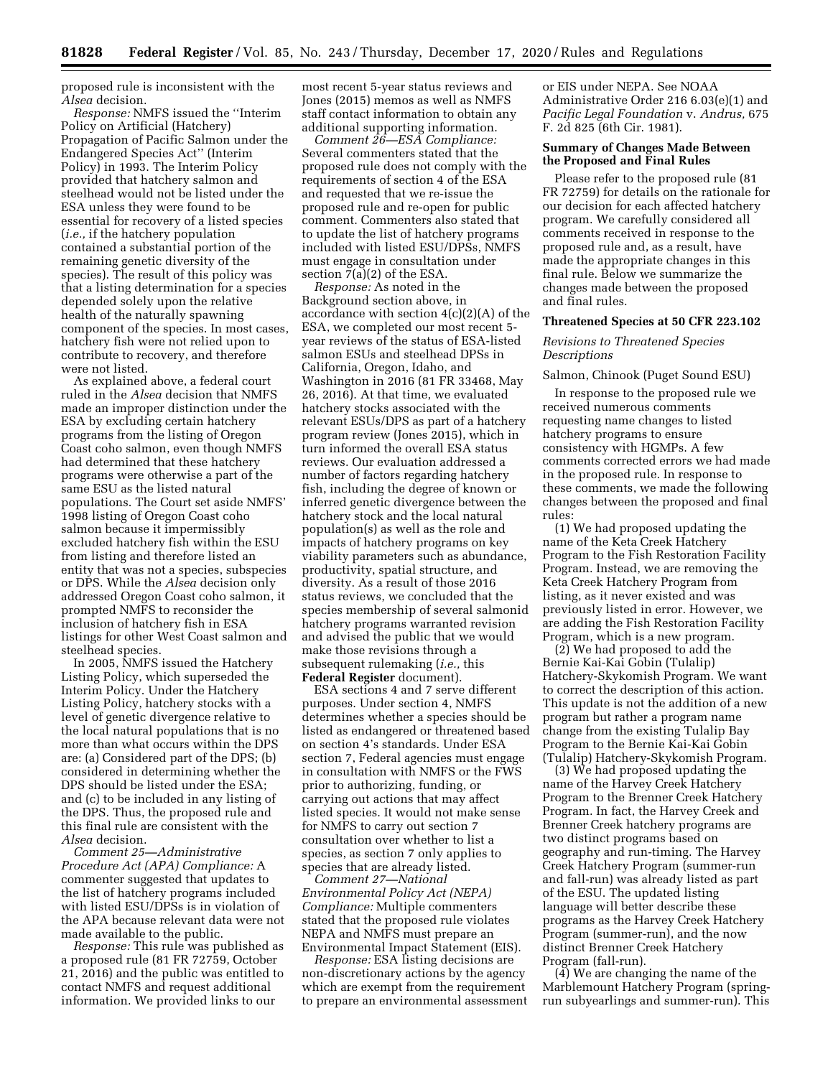proposed rule is inconsistent with the *Alsea* decision.

*Response:* NMFS issued the ''Interim Policy on Artificial (Hatchery) Propagation of Pacific Salmon under the Endangered Species Act'' (Interim Policy) in 1993. The Interim Policy provided that hatchery salmon and steelhead would not be listed under the ESA unless they were found to be essential for recovery of a listed species (*i.e.,* if the hatchery population contained a substantial portion of the remaining genetic diversity of the species). The result of this policy was that a listing determination for a species depended solely upon the relative health of the naturally spawning component of the species. In most cases, hatchery fish were not relied upon to contribute to recovery, and therefore were not listed.

As explained above, a federal court ruled in the *Alsea* decision that NMFS made an improper distinction under the ESA by excluding certain hatchery programs from the listing of Oregon Coast coho salmon, even though NMFS had determined that these hatchery programs were otherwise a part of the same ESU as the listed natural populations. The Court set aside NMFS' 1998 listing of Oregon Coast coho salmon because it impermissibly excluded hatchery fish within the ESU from listing and therefore listed an entity that was not a species, subspecies or DPS. While the *Alsea* decision only addressed Oregon Coast coho salmon, it prompted NMFS to reconsider the inclusion of hatchery fish in ESA listings for other West Coast salmon and steelhead species.

In 2005, NMFS issued the Hatchery Listing Policy, which superseded the Interim Policy. Under the Hatchery Listing Policy, hatchery stocks with a level of genetic divergence relative to the local natural populations that is no more than what occurs within the DPS are: (a) Considered part of the DPS; (b) considered in determining whether the DPS should be listed under the ESA; and (c) to be included in any listing of the DPS. Thus, the proposed rule and this final rule are consistent with the *Alsea* decision.

*Comment 25—Administrative Procedure Act (APA) Compliance:* A commenter suggested that updates to the list of hatchery programs included with listed ESU/DPSs is in violation of the APA because relevant data were not made available to the public.

*Response:* This rule was published as a proposed rule (81 FR 72759, October 21, 2016) and the public was entitled to contact NMFS and request additional information. We provided links to our

most recent 5-year status reviews and Jones (2015) memos as well as NMFS staff contact information to obtain any additional supporting information.

*Comment 26—ESA Compliance:*  Several commenters stated that the proposed rule does not comply with the requirements of section 4 of the ESA and requested that we re-issue the proposed rule and re-open for public comment. Commenters also stated that to update the list of hatchery programs included with listed ESU/DPSs, NMFS must engage in consultation under section 7(a)(2) of the ESA.

*Response:* As noted in the Background section above, in accordance with section 4(c)(2)(A) of the ESA, we completed our most recent 5 year reviews of the status of ESA-listed salmon ESUs and steelhead DPSs in California, Oregon, Idaho, and Washington in 2016 (81 FR 33468, May 26, 2016). At that time, we evaluated hatchery stocks associated with the relevant ESUs/DPS as part of a hatchery program review (Jones 2015), which in turn informed the overall ESA status reviews. Our evaluation addressed a number of factors regarding hatchery fish, including the degree of known or inferred genetic divergence between the hatchery stock and the local natural population(s) as well as the role and impacts of hatchery programs on key viability parameters such as abundance, productivity, spatial structure, and diversity. As a result of those 2016 status reviews, we concluded that the species membership of several salmonid hatchery programs warranted revision and advised the public that we would make those revisions through a subsequent rulemaking (*i.e.,* this **Federal Register** document).

ESA sections 4 and 7 serve different purposes. Under section 4, NMFS determines whether a species should be listed as endangered or threatened based on section 4's standards. Under ESA section 7, Federal agencies must engage in consultation with NMFS or the FWS prior to authorizing, funding, or carrying out actions that may affect listed species. It would not make sense for NMFS to carry out section 7 consultation over whether to list a species, as section 7 only applies to species that are already listed.

*Comment 27—National Environmental Policy Act (NEPA) Compliance:* Multiple commenters stated that the proposed rule violates NEPA and NMFS must prepare an Environmental Impact Statement (EIS).

*Response:* ESA listing decisions are non-discretionary actions by the agency which are exempt from the requirement to prepare an environmental assessment

or EIS under NEPA. See NOAA Administrative Order 216 6.03(e)(1) and *Pacific Legal Foundation* v. *Andrus,* 675 F. 2d 825 (6th Cir. 1981).

# **Summary of Changes Made Between the Proposed and Final Rules**

Please refer to the proposed rule (81 FR 72759) for details on the rationale for our decision for each affected hatchery program. We carefully considered all comments received in response to the proposed rule and, as a result, have made the appropriate changes in this final rule. Below we summarize the changes made between the proposed and final rules.

#### **Threatened Species at 50 CFR 223.102**

# *Revisions to Threatened Species Descriptions*

#### Salmon, Chinook (Puget Sound ESU)

In response to the proposed rule we received numerous comments requesting name changes to listed hatchery programs to ensure consistency with HGMPs. A few comments corrected errors we had made in the proposed rule. In response to these comments, we made the following changes between the proposed and final rules:

(1) We had proposed updating the name of the Keta Creek Hatchery Program to the Fish Restoration Facility Program. Instead, we are removing the Keta Creek Hatchery Program from listing, as it never existed and was previously listed in error. However, we are adding the Fish Restoration Facility Program, which is a new program.

(2) We had proposed to add the Bernie Kai-Kai Gobin (Tulalip) Hatchery-Skykomish Program. We want to correct the description of this action. This update is not the addition of a new program but rather a program name change from the existing Tulalip Bay Program to the Bernie Kai-Kai Gobin (Tulalip) Hatchery-Skykomish Program.

(3) We had proposed updating the name of the Harvey Creek Hatchery Program to the Brenner Creek Hatchery Program. In fact, the Harvey Creek and Brenner Creek hatchery programs are two distinct programs based on geography and run-timing. The Harvey Creek Hatchery Program (summer-run and fall-run) was already listed as part of the ESU. The updated listing language will better describe these programs as the Harvey Creek Hatchery Program (summer-run), and the now distinct Brenner Creek Hatchery Program (fall-run).

(4) We are changing the name of the Marblemount Hatchery Program (springrun subyearlings and summer-run). This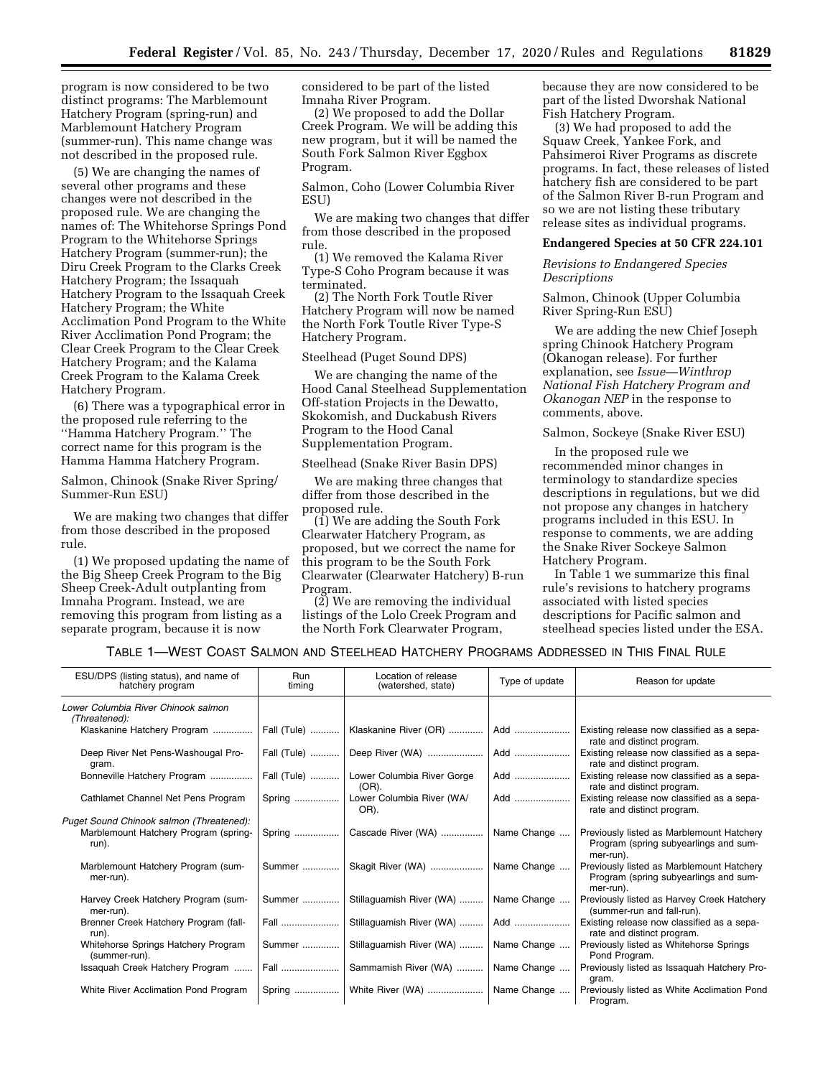program is now considered to be two distinct programs: The Marblemount Hatchery Program (spring-run) and Marblemount Hatchery Program (summer-run). This name change was not described in the proposed rule.

(5) We are changing the names of several other programs and these changes were not described in the proposed rule. We are changing the names of: The Whitehorse Springs Pond Program to the Whitehorse Springs Hatchery Program (summer-run); the Diru Creek Program to the Clarks Creek Hatchery Program; the Issaquah Hatchery Program to the Issaquah Creek Hatchery Program; the White Acclimation Pond Program to the White River Acclimation Pond Program; the Clear Creek Program to the Clear Creek Hatchery Program; and the Kalama Creek Program to the Kalama Creek Hatchery Program.

(6) There was a typographical error in the proposed rule referring to the ''Hamma Hatchery Program.'' The correct name for this program is the Hamma Hamma Hatchery Program.

Salmon, Chinook (Snake River Spring/ Summer-Run ESU)

We are making two changes that differ from those described in the proposed rule.

(1) We proposed updating the name of the Big Sheep Creek Program to the Big Sheep Creek-Adult outplanting from Imnaha Program. Instead, we are removing this program from listing as a separate program, because it is now

considered to be part of the listed Imnaha River Program.

(2) We proposed to add the Dollar Creek Program. We will be adding this new program, but it will be named the South Fork Salmon River Eggbox Program.

Salmon, Coho (Lower Columbia River **ESU)** 

We are making two changes that differ from those described in the proposed rule.

(1) We removed the Kalama River Type-S Coho Program because it was terminated.

(2) The North Fork Toutle River Hatchery Program will now be named the North Fork Toutle River Type-S Hatchery Program.

#### Steelhead (Puget Sound DPS)

We are changing the name of the Hood Canal Steelhead Supplementation Off-station Projects in the Dewatto, Skokomish, and Duckabush Rivers Program to the Hood Canal Supplementation Program.

Steelhead (Snake River Basin DPS)

We are making three changes that differ from those described in the proposed rule.

(1) We are adding the South Fork Clearwater Hatchery Program, as proposed, but we correct the name for this program to be the South Fork Clearwater (Clearwater Hatchery) B-run Program.

(2) We are removing the individual listings of the Lolo Creek Program and the North Fork Clearwater Program,

because they are now considered to be part of the listed Dworshak National Fish Hatchery Program.

(3) We had proposed to add the Squaw Creek, Yankee Fork, and Pahsimeroi River Programs as discrete programs. In fact, these releases of listed hatchery fish are considered to be part of the Salmon River B-run Program and so we are not listing these tributary release sites as individual programs.

#### **Endangered Species at 50 CFR 224.101**

*Revisions to Endangered Species Descriptions* 

Salmon, Chinook (Upper Columbia River Spring-Run ESU)

We are adding the new Chief Joseph spring Chinook Hatchery Program (Okanogan release). For further explanation, see *Issue—Winthrop National Fish Hatchery Program and Okanogan NEP* in the response to comments, above.

Salmon, Sockeye (Snake River ESU)

In the proposed rule we recommended minor changes in terminology to standardize species descriptions in regulations, but we did not propose any changes in hatchery programs included in this ESU. In response to comments, we are adding the Snake River Sockeye Salmon Hatchery Program.

In Table 1 we summarize this final rule's revisions to hatchery programs associated with listed species descriptions for Pacific salmon and steelhead species listed under the ESA.

# TABLE 1—WEST COAST SALMON AND STEELHEAD HATCHERY PROGRAMS ADDRESSED IN THIS FINAL RULE

| ESU/DPS (listing status), and name of<br>hatchery program | <b>Run</b><br>timing | Location of release<br>(watershed, state) | Type of update | Reason for update                                                                               |
|-----------------------------------------------------------|----------------------|-------------------------------------------|----------------|-------------------------------------------------------------------------------------------------|
| Lower Columbia River Chinook salmon<br>(Threatened):      |                      |                                           |                |                                                                                                 |
| Klaskanine Hatchery Program                               | Fall (Tule)          | Klaskanine River (OR)                     | Add            | Existing release now classified as a sepa-<br>rate and distinct program.                        |
| Deep River Net Pens-Washougal Pro-<br>gram.               | Fall (Tule)          |                                           | Add            | Existing release now classified as a sepa-<br>rate and distinct program.                        |
| Bonneville Hatchery Program                               | Fall (Tule)          | Lower Columbia River Gorge<br>$(OR)$ .    | Add            | Existing release now classified as a sepa-<br>rate and distinct program.                        |
| Cathlamet Channel Net Pens Program                        | Spring               | Lower Columbia River (WA/<br>OR).         | Add            | Existing release now classified as a sepa-<br>rate and distinct program.                        |
| Puget Sound Chinook salmon (Threatened):                  |                      |                                           |                |                                                                                                 |
| Marblemount Hatchery Program (spring-<br>run).            |                      | Spring    Cascade River (WA)              | Name Change    | Previously listed as Marblemount Hatchery<br>Program (spring subyearlings and sum-<br>mer-run). |
| Marblemount Hatchery Program (sum-<br>mer-run).           | Summer               | Skagit River (WA)    Name Change          |                | Previously listed as Marblemount Hatchery<br>Program (spring subyearlings and sum-<br>mer-run). |
| Harvey Creek Hatchery Program (sum-<br>mer-run).          | Summer               | Stillaguamish River (WA)    Name Change   |                | Previously listed as Harvey Creek Hatchery<br>(summer-run and fall-run).                        |
| Brenner Creek Hatchery Program (fall-<br>run).            | Fall                 | Stillaguamish River (WA)    Add           |                | Existing release now classified as a sepa-<br>rate and distinct program.                        |
| Whitehorse Springs Hatchery Program<br>(summer-run).      | Summer               | Stillaguamish River (WA)    Name Change   |                | Previously listed as Whitehorse Springs<br>Pond Program.                                        |
| Issaquah Creek Hatchery Program                           |                      | Sammamish River (WA)    Name Change       |                | Previously listed as Issaquah Hatchery Pro-<br>gram.                                            |
| White River Acclimation Pond Program                      |                      | Spring    White River (WA)    Name Change |                | Previously listed as White Acclimation Pond<br>Program.                                         |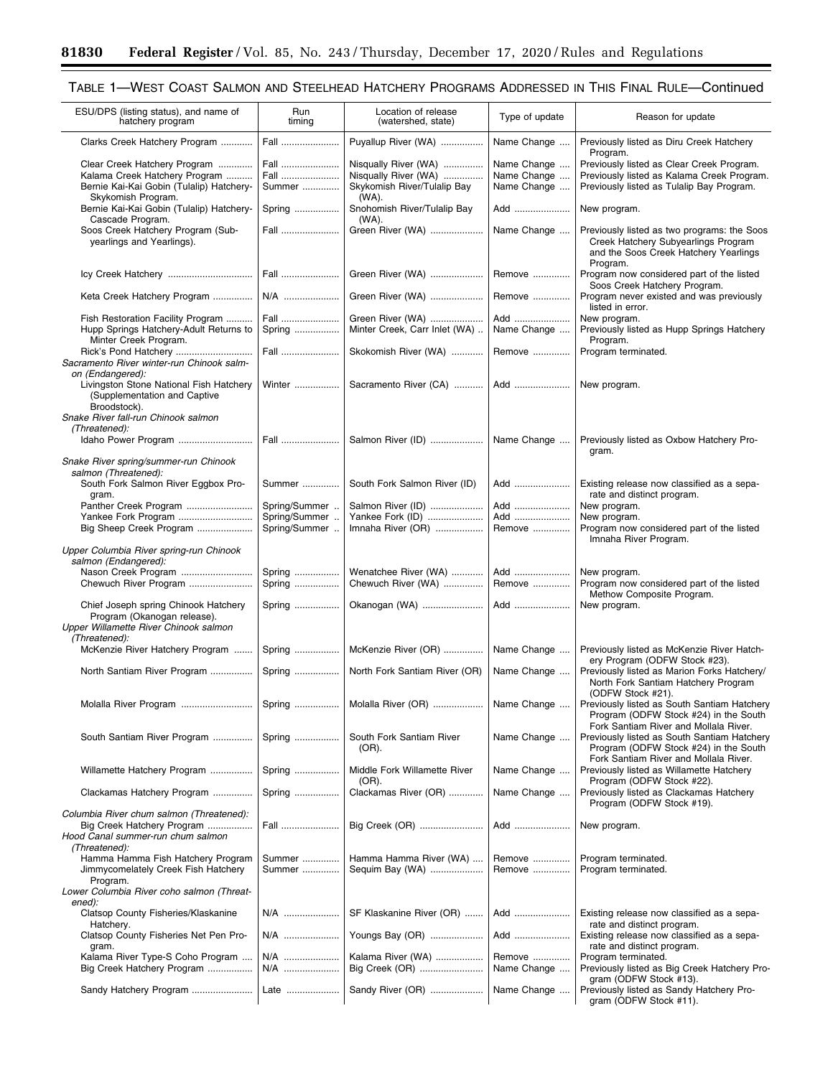Ξ

# TABLE 1—WEST COAST SALMON AND STEELHEAD HATCHERY PROGRAMS ADDRESSED IN THIS FINAL RULE—Continued

| ESU/DPS (listing status), and name of<br>hatchery program               | Run<br>timing | Location of release<br>(watershed, state) | Type of update        | Reason for update                                                                                                                       |
|-------------------------------------------------------------------------|---------------|-------------------------------------------|-----------------------|-----------------------------------------------------------------------------------------------------------------------------------------|
| Clarks Creek Hatchery Program                                           | Fall          | Puyallup River (WA)                       | Name Change           | Previously listed as Diru Creek Hatchery<br>Program.                                                                                    |
| Clear Creek Hatchery Program                                            | Fall          | Nisqually River (WA)                      | Name Change           | Previously listed as Clear Creek Program.                                                                                               |
| Kalama Creek Hatchery Program                                           | Fall          | Nisqually River (WA)                      | Name Change           | Previously listed as Kalama Creek Program.                                                                                              |
| Bernie Kai-Kai Gobin (Tulalip) Hatchery-                                | Summer        | Skykomish River/Tulalip Bay               | Name Change           | Previously listed as Tulalip Bay Program.                                                                                               |
| Skykomish Program.<br>Bernie Kai-Kai Gobin (Tulalip) Hatchery-          | Spring        | (WA).<br>Snohomish River/Tulalip Bay      | Add                   | New program.                                                                                                                            |
| Cascade Program.                                                        |               | (WA).                                     |                       |                                                                                                                                         |
| Soos Creek Hatchery Program (Sub-<br>yearlings and Yearlings).          | Fall          | Green River (WA)                          | Name Change           | Previously listed as two programs: the Soos<br>Creek Hatchery Subyearlings Program<br>and the Soos Creek Hatchery Yearlings<br>Program. |
|                                                                         | Fall          | Green River (WA)                          | Remove                | Program now considered part of the listed<br>Soos Creek Hatchery Program.                                                               |
| Keta Creek Hatchery Program                                             | N/A           | Green River (WA)                          | Remove                | Program never existed and was previously<br>listed in error.                                                                            |
| Fish Restoration Facility Program                                       | Fall          | Green River (WA)                          | Add                   | New program.                                                                                                                            |
| Hupp Springs Hatchery-Adult Returns to                                  | Spring        | Minter Creek, Carr Inlet (WA)             | Name Change           | Previously listed as Hupp Springs Hatchery                                                                                              |
| Minter Creek Program.<br>Rick's Pond Hatchery                           | Fall          | Skokomish River (WA)                      | Remove                | Program.<br>Program terminated.                                                                                                         |
| Sacramento River winter-run Chinook salm-                               |               |                                           |                       |                                                                                                                                         |
| on (Endangered):                                                        |               |                                           |                       |                                                                                                                                         |
| Livingston Stone National Fish Hatchery<br>(Supplementation and Captive | Winter        | Sacramento River (CA)                     | Add                   | New program.                                                                                                                            |
| Broodstock).                                                            |               |                                           |                       |                                                                                                                                         |
| Snake River fall-run Chinook salmon<br>(Threatened):                    |               |                                           |                       |                                                                                                                                         |
| Idaho Power Program                                                     | Fall          | Salmon River (ID)                         | Name Change           | Previously listed as Oxbow Hatchery Pro-                                                                                                |
|                                                                         |               |                                           |                       | gram.                                                                                                                                   |
| Snake River spring/summer-run Chinook                                   |               |                                           |                       |                                                                                                                                         |
| salmon (Threatened):                                                    |               |                                           |                       |                                                                                                                                         |
| South Fork Salmon River Eggbox Pro-                                     | Summer        | South Fork Salmon River (ID)              | Add                   | Existing release now classified as a sepa-                                                                                              |
| gram.                                                                   |               |                                           |                       | rate and distinct program.                                                                                                              |
| Panther Creek Program                                                   | Spring/Summer | Salmon River (ID)                         | Add                   | New program.                                                                                                                            |
| Yankee Fork Program                                                     | Spring/Summer | Yankee Fork (ID)                          | Add                   | New program.                                                                                                                            |
| Big Sheep Creek Program                                                 | Spring/Summer | Imnaha River (OR)                         | Remove                | Program now considered part of the listed                                                                                               |
| Upper Columbia River spring-run Chinook                                 |               |                                           |                       | Imnaha River Program.                                                                                                                   |
| salmon (Endangered):                                                    |               |                                           |                       |                                                                                                                                         |
| Nason Creek Program                                                     | Spring        | Wenatchee River (WA)                      | Add                   | New program.                                                                                                                            |
| Chewuch River Program                                                   | Spring        | Chewuch River (WA)                        | Remove                | Program now considered part of the listed                                                                                               |
|                                                                         |               |                                           |                       | Methow Composite Program.                                                                                                               |
| Chief Joseph spring Chinook Hatchery                                    | Spring        | Okanogan (WA)                             | Add                   | New program.                                                                                                                            |
| Program (Okanogan release).                                             |               |                                           |                       |                                                                                                                                         |
| Upper Willamette River Chinook salmon                                   |               |                                           |                       |                                                                                                                                         |
| (Threatened):                                                           |               |                                           |                       |                                                                                                                                         |
| McKenzie River Hatchery Program                                         | Spring        | McKenzie River (OR)                       | Name Change           | Previously listed as McKenzie River Hatch-                                                                                              |
| North Santiam River Program                                             | Spring        | North Fork Santiam River (OR)             | Name Change           | ery Program (ODFW Stock #23).<br>Previously listed as Marion Forks Hatchery/<br>North Fork Santiam Hatchery Program                     |
|                                                                         |               |                                           |                       | (ODFW Stock #21).                                                                                                                       |
| Molalla River Program  Spring    Molalla River (OR)    Name Change      |               |                                           |                       | Previously listed as South Santiam Hatchery                                                                                             |
|                                                                         |               |                                           |                       | Program (ODFW Stock #24) in the South                                                                                                   |
|                                                                         |               |                                           |                       | Fork Santiam River and Mollala River.                                                                                                   |
| South Santiam River Program                                             | Spring        | South Fork Santiam River<br>(OR).         | Name Change           | Previously listed as South Santiam Hatchery<br>Program (ODFW Stock #24) in the South                                                    |
|                                                                         |               |                                           |                       | Fork Santiam River and Mollala River.                                                                                                   |
| Willamette Hatchery Program                                             | Spring        | Middle Fork Willamette River              | Name Change           | Previously listed as Willamette Hatchery                                                                                                |
|                                                                         |               | (OR).                                     |                       | Program (ODFW Stock #22).                                                                                                               |
| Clackamas Hatchery Program                                              | Spring        | Clackamas River (OR)                      | Name Change           | Previously listed as Clackamas Hatchery                                                                                                 |
|                                                                         |               |                                           |                       | Program (ODFW Stock #19).                                                                                                               |
| Columbia River chum salmon (Threatened):                                |               |                                           |                       |                                                                                                                                         |
| Big Creek Hatchery Program                                              | Fall          | Big Creek (OR)                            | Add                   | New program.                                                                                                                            |
| Hood Canal summer-run chum salmon<br>(Threatened):                      |               |                                           |                       |                                                                                                                                         |
| Hamma Hamma Fish Hatchery Program                                       | Summer        | Hamma Hamma River (WA)                    | Remove                | Program terminated.                                                                                                                     |
| Jimmycomelately Creek Fish Hatchery                                     | Summer        | Sequim Bay (WA)                           | Remove                | Program terminated.                                                                                                                     |
| Program.                                                                |               |                                           |                       |                                                                                                                                         |
| Lower Columbia River coho salmon (Threat-                               |               |                                           |                       |                                                                                                                                         |
| ened):                                                                  |               |                                           |                       |                                                                                                                                         |
| Clatsop County Fisheries/Klaskanine                                     | N/A           | SF Klaskanine River (OR)                  | Add                   | Existing release now classified as a sepa-                                                                                              |
| Hatchery.                                                               |               |                                           |                       | rate and distinct program.                                                                                                              |
| Clatsop County Fisheries Net Pen Pro-                                   | N/A           | Youngs Bay (OR)                           | Add                   | Existing release now classified as a sepa-                                                                                              |
| gram.                                                                   |               |                                           |                       | rate and distinct program.                                                                                                              |
| Kalama River Type-S Coho Program<br>Big Creek Hatchery Program          | N/A<br>N/A    | Kalama River (WA)<br>Big Creek (OR)       | Remove<br>Name Change | Program terminated.<br>Previously listed as Big Creek Hatchery Pro-                                                                     |
| Sandy Hatchery Program                                                  | Late          | Sandy River (OR)                          | Name Change           | gram (ODFW Stock #13).<br>Previously listed as Sandy Hatchery Pro-                                                                      |
|                                                                         |               |                                           |                       | gram (ODFW Stock #11).                                                                                                                  |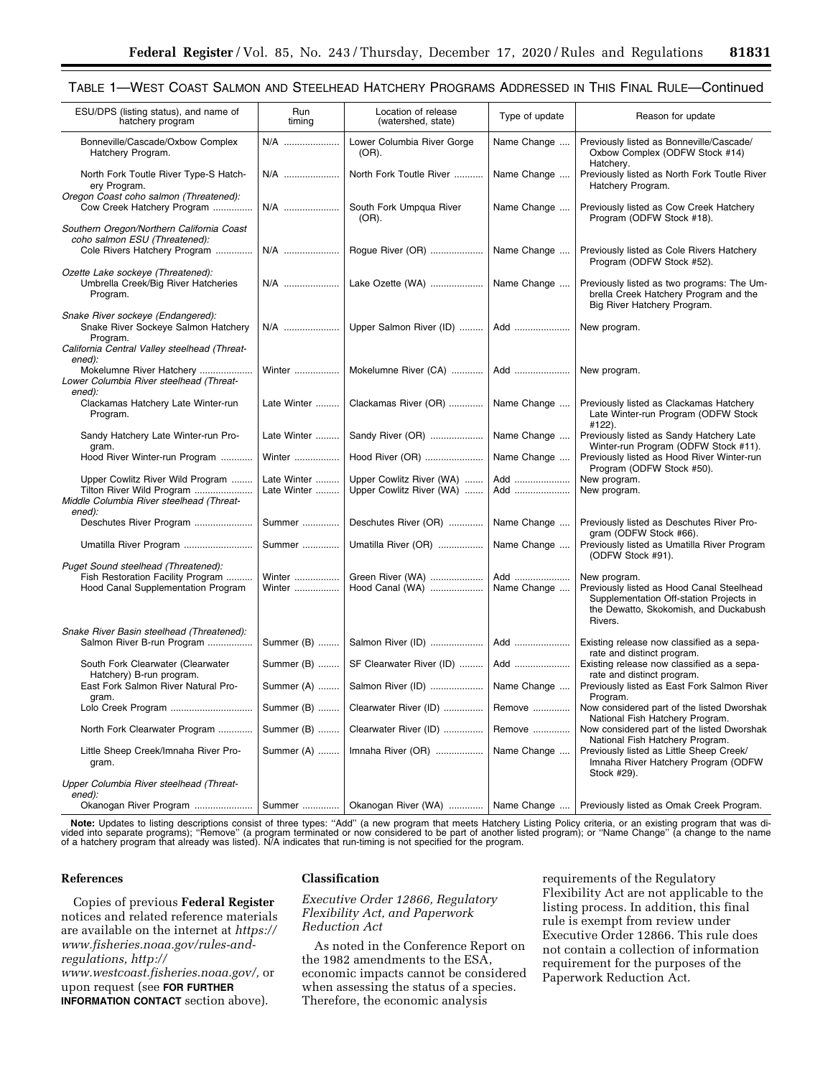# TABLE 1—WEST COAST SALMON AND STEELHEAD HATCHERY PROGRAMS ADDRESSED IN THIS FINAL RULE—Continued

| ESU/DPS (listing status), and name of<br>hatchery program                                                                               | Run<br>timing              | Location of release<br>(watershed, state)            | Type of update     | Reason for update                                                                                                                                        |
|-----------------------------------------------------------------------------------------------------------------------------------------|----------------------------|------------------------------------------------------|--------------------|----------------------------------------------------------------------------------------------------------------------------------------------------------|
| Bonneville/Cascade/Oxbow Complex<br>Hatchery Program.                                                                                   | N/A                        | Lower Columbia River Gorge<br>(OR).                  | Name Change        | Previously listed as Bonneville/Cascade/<br>Oxbow Complex (ODFW Stock #14)<br>Hatchery.                                                                  |
| North Fork Toutle River Type-S Hatch-<br>ery Program.                                                                                   | N/A                        | North Fork Toutle River                              | Name Change        | Previously listed as North Fork Toutle River<br>Hatchery Program.                                                                                        |
| Oregon Coast coho salmon (Threatened):<br>Cow Creek Hatchery Program                                                                    | N/A                        | South Fork Umpqua River<br>(OR).                     | Name Change        | Previously listed as Cow Creek Hatchery<br>Program (ODFW Stock #18).                                                                                     |
| Southern Oregon/Northern California Coast<br>coho salmon ESU (Threatened):<br>Cole Rivers Hatchery Program                              | N/A                        | Rogue River (OR)                                     | Name Change        | Previously listed as Cole Rivers Hatchery<br>Program (ODFW Stock #52).                                                                                   |
| Ozette Lake sockeye (Threatened):<br>Umbrella Creek/Big River Hatcheries<br>Program.                                                    | N/A                        | Lake Ozette (WA)                                     | Name Change        | Previously listed as two programs: The Um-<br>brella Creek Hatchery Program and the<br>Big River Hatchery Program.                                       |
| Snake River sockeye (Endangered):<br>Snake River Sockeye Salmon Hatchery<br>Program.                                                    | N/A                        | Upper Salmon River (ID)                              | Add                | New program.                                                                                                                                             |
| California Central Valley steelhead (Threat-<br>ened):<br>Mokelumne River Hatchery<br>Lower Columbia River steelhead (Threat-<br>ened): | Winter                     | Mokelumne River (CA)                                 | Add                | New program.                                                                                                                                             |
| Clackamas Hatchery Late Winter-run<br>Program.                                                                                          | Late Winter                | Clackamas River (OR)                                 | Name Change        | Previously listed as Clackamas Hatchery<br>Late Winter-run Program (ODFW Stock                                                                           |
| Sandy Hatchery Late Winter-run Pro-<br>gram.                                                                                            | Late Winter                | Sandy River (OR)                                     | Name Change        | #122).<br>Previously listed as Sandy Hatchery Late<br>Winter-run Program (ODFW Stock #11).                                                               |
| Hood River Winter-run Program                                                                                                           | Winter                     | Hood River (OR)                                      | Name Change        | Previously listed as Hood River Winter-run<br>Program (ODFW Stock #50).                                                                                  |
| Upper Cowlitz River Wild Program<br>Tilton River Wild Program<br>Middle Columbia River steelhead (Threat-<br>ened):                     | Late Winter<br>Late Winter | Upper Cowlitz River (WA)<br>Upper Cowlitz River (WA) | Add<br>Add         | New program.<br>New program.                                                                                                                             |
| Deschutes River Program                                                                                                                 | Summer                     | Deschutes River (OR)                                 | Name Change        | Previously listed as Deschutes River Pro-<br>gram (ODFW Stock #66).                                                                                      |
| Umatilla River Program                                                                                                                  | Summer                     | Umatilla River (OR)                                  | Name Change        | Previously listed as Umatilla River Program<br>(ODFW Stock #91).                                                                                         |
| Puget Sound steelhead (Threatened):<br>Fish Restoration Facility Program<br>Hood Canal Supplementation Program                          | Winter<br>Winter           | Green River (WA)<br>Hood Canal (WA)                  | Add<br>Name Change | New program.<br>Previously listed as Hood Canal Steelhead<br>Supplementation Off-station Projects in<br>the Dewatto, Skokomish, and Duckabush<br>Rivers. |
| Snake River Basin steelhead (Threatened):<br>Salmon River B-run Program                                                                 | Summer (B)                 | Salmon River (ID)                                    | Add                | Existing release now classified as a sepa-                                                                                                               |
| South Fork Clearwater (Clearwater                                                                                                       | Summer (B)                 | SF Clearwater River (ID)                             | Add                | rate and distinct program.<br>Existing release now classified as a sepa-                                                                                 |
| Hatchery) B-run program.<br>East Fork Salmon River Natural Pro-                                                                         | Summer (A)                 | Salmon River (ID)                                    | Name Change        | rate and distinct program.<br>Previously listed as East Fork Salmon River<br>Program.                                                                    |
| gram.<br>Lolo Creek Program                                                                                                             |                            | Summer (B)    Clearwater River (ID)                  | Remove             | Now considered part of the listed Dworshak                                                                                                               |
| North Fork Clearwater Program                                                                                                           | Summer (B)                 | Clearwater River (ID)                                | Remove             | National Fish Hatchery Program.<br>Now considered part of the listed Dworshak                                                                            |
| Little Sheep Creek/Imnaha River Pro-<br>gram.                                                                                           | Summer (A)                 | Imnaha River (OR)                                    | Name Change        | National Fish Hatchery Program.<br>Previously listed as Little Sheep Creek/<br>Imnaha River Hatchery Program (ODFW<br>Stock #29).                        |
| Upper Columbia River steelhead (Threat-<br>ened):                                                                                       |                            |                                                      |                    |                                                                                                                                                          |
| Okanogan River Program                                                                                                                  | Summer                     | Okanogan River (WA)                                  | Name Change        | Previously listed as Omak Creek Program.                                                                                                                 |

**Note:** Updates to listing descriptions consist of three types: "Add" (a new program that meets Hatchery Listing Policy criteria, or an existing program that was di-<br>vided into separate programs); "Remove" (a program termi

#### **References**

Copies of previous **Federal Register**  notices and related reference materials are available on the internet at *[https://](https://www.fisheries.noaa.gov/rules-and-regulations)  [www.fisheries.noaa.gov/rules-and](https://www.fisheries.noaa.gov/rules-and-regulations)[regulations,](https://www.fisheries.noaa.gov/rules-and-regulations) [http://](http://www.westcoast.fisheries.noaa.gov/)*

*[www.westcoast.fisheries.noaa.gov/,](http://www.westcoast.fisheries.noaa.gov/)* or upon request (see **FOR FURTHER INFORMATION CONTACT** section above).

### **Classification**

*Executive Order 12866, Regulatory Flexibility Act, and Paperwork Reduction Act* 

As noted in the Conference Report on the 1982 amendments to the ESA, economic impacts cannot be considered when assessing the status of a species. Therefore, the economic analysis

requirements of the Regulatory Flexibility Act are not applicable to the listing process. In addition, this final rule is exempt from review under Executive Order 12866. This rule does not contain a collection of information requirement for the purposes of the Paperwork Reduction Act.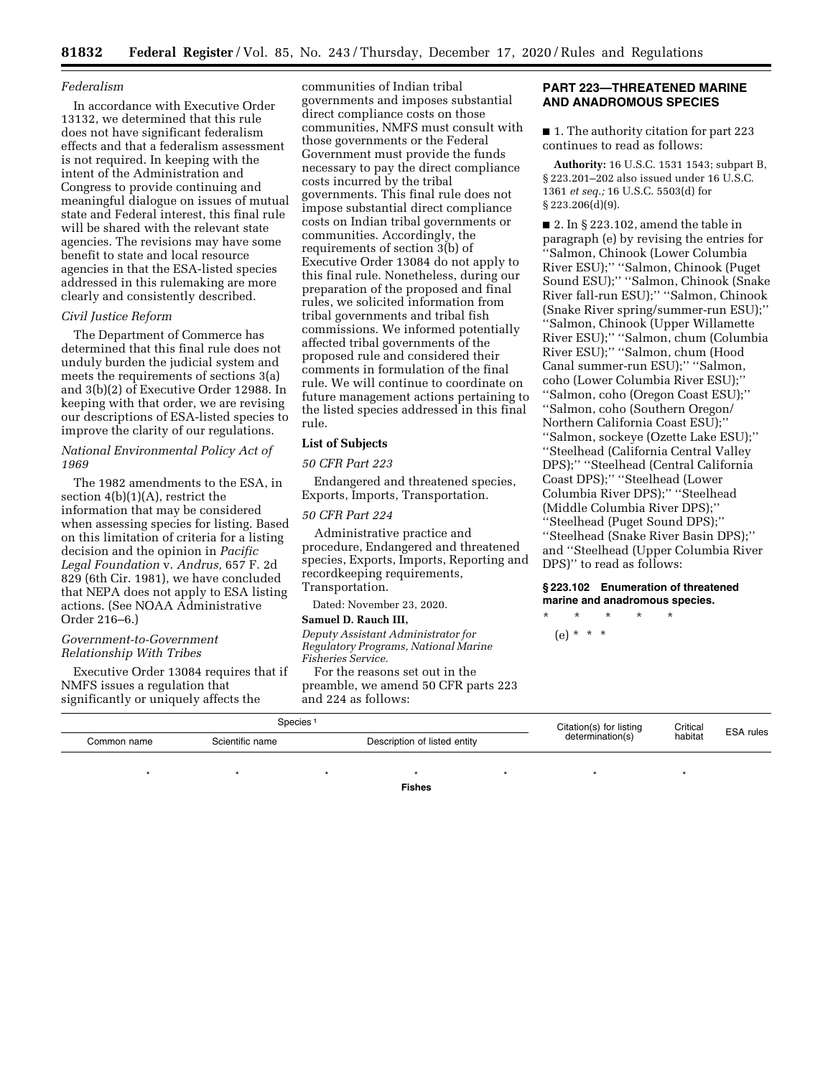#### *Federalism*

In accordance with Executive Order 13132, we determined that this rule does not have significant federalism effects and that a federalism assessment is not required. In keeping with the intent of the Administration and Congress to provide continuing and meaningful dialogue on issues of mutual state and Federal interest, this final rule will be shared with the relevant state agencies. The revisions may have some benefit to state and local resource agencies in that the ESA-listed species addressed in this rulemaking are more clearly and consistently described.

## *Civil Justice Reform*

The Department of Commerce has determined that this final rule does not unduly burden the judicial system and meets the requirements of sections 3(a) and 3(b)(2) of Executive Order 12988. In keeping with that order, we are revising our descriptions of ESA-listed species to improve the clarity of our regulations.

*National Environmental Policy Act of 1969* 

The 1982 amendments to the ESA, in section  $4(b)(1)(A)$ , restrict the information that may be considered when assessing species for listing. Based on this limitation of criteria for a listing decision and the opinion in *Pacific Legal Foundation* v. *Andrus,* 657 F. 2d 829 (6th Cir. 1981), we have concluded that NEPA does not apply to ESA listing actions. (See NOAA Administrative Order 216–6.)

## *Government-to-Government Relationship With Tribes*

Executive Order 13084 requires that if NMFS issues a regulation that

communities of Indian tribal governments and imposes substantial direct compliance costs on those communities, NMFS must consult with those governments or the Federal Government must provide the funds necessary to pay the direct compliance costs incurred by the tribal governments. This final rule does not impose substantial direct compliance costs on Indian tribal governments or communities. Accordingly, the requirements of section 3(b) of Executive Order 13084 do not apply to this final rule. Nonetheless, during our preparation of the proposed and final rules, we solicited information from tribal governments and tribal fish commissions. We informed potentially affected tribal governments of the proposed rule and considered their comments in formulation of the final rule. We will continue to coordinate on future management actions pertaining to the listed species addressed in this final rule.

# **List of Subjects**

# *50 CFR Part 223*

Endangered and threatened species, Exports, Imports, Transportation.

### *50 CFR Part 224*

Administrative practice and procedure, Endangered and threatened species, Exports, Imports, Reporting and recordkeeping requirements, Transportation.

Dated: November 23, 2020.

# **Samuel D. Rauch III,**

*Deputy Assistant Administrator for Regulatory Programs, National Marine Fisheries Service.* 

For the reasons set out in the preamble, we amend 50 CFR parts 223

# **PART 223—THREATENED MARINE AND ANADROMOUS SPECIES**

■ 1. The authority citation for part 223 continues to read as follows:

**Authority:** 16 U.S.C. 1531 1543; subpart B, § 223.201–202 also issued under 16 U.S.C. 1361 *et seq.;* 16 U.S.C. 5503(d) for § 223.206(d)(9).

 $\blacksquare$  2. In § 223.102, amend the table in paragraph (e) by revising the entries for ''Salmon, Chinook (Lower Columbia River ESU);'' ''Salmon, Chinook (Puget Sound ESU);'' ''Salmon, Chinook (Snake River fall-run ESU);'' ''Salmon, Chinook (Snake River spring/summer-run ESU);'' ''Salmon, Chinook (Upper Willamette River ESU);'' ''Salmon, chum (Columbia River ESU);'' ''Salmon, chum (Hood Canal summer-run ESU);'' ''Salmon, coho (Lower Columbia River ESU);'' ''Salmon, coho (Oregon Coast ESU);'' ''Salmon, coho (Southern Oregon/ Northern California Coast ESU);'' ''Salmon, sockeye (Ozette Lake ESU);'' ''Steelhead (California Central Valley DPS);'' ''Steelhead (Central California Coast DPS);'' ''Steelhead (Lower Columbia River DPS);'' ''Steelhead (Middle Columbia River DPS);'' ''Steelhead (Puget Sound DPS);'' ''Steelhead (Snake River Basin DPS);'' and ''Steelhead (Upper Columbia River DPS)'' to read as follows:

## **§ 223.102 Enumeration of threatened marine and anadromous species.**

\* \* \* \* \* (e) \* \* \*

| significantly or uniquely affects the |                 | and 224 as follows:          |                         |                     |                  |
|---------------------------------------|-----------------|------------------------------|-------------------------|---------------------|------------------|
|                                       |                 | Species <sup>1</sup>         | Citation(s) for listing | Critical<br>habitat | <b>ESA</b> rules |
| Common name                           | Scientific name | Description of listed entity | determination(s)        |                     |                  |
|                                       |                 |                              |                         |                     |                  |

\*\*\*\*\*\*\* **Fishes**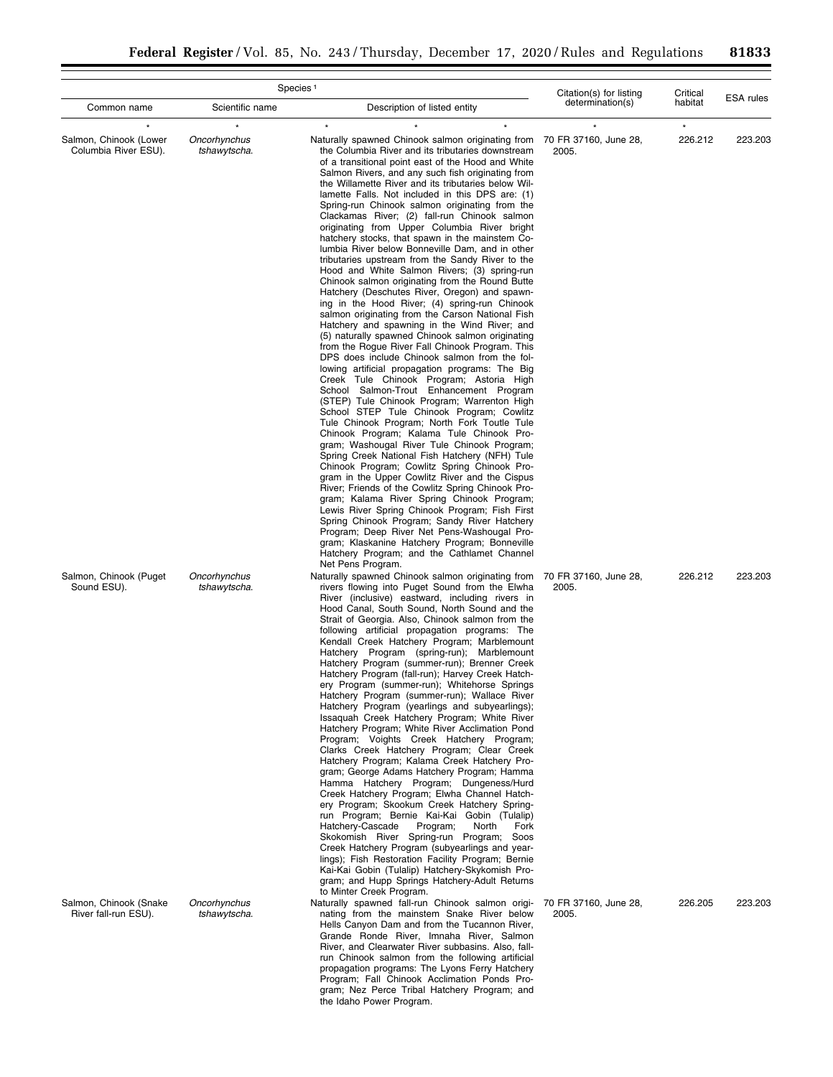|                                                |                              | Species <sup>1</sup>                                                                                                                                                                                                                                                                                                                                                                                                                                                                                                                                                                                                                                                                                                                                                                                                                                                                                                                                                                                                                                                                                                                                                                                                                                                                                                                                                                                                                                                                                                                                                                                                                                                                                                                                                                                                                                                                                                                                                                                                     | Citation(s) for listing        | Critical           | <b>ESA</b> rules |
|------------------------------------------------|------------------------------|--------------------------------------------------------------------------------------------------------------------------------------------------------------------------------------------------------------------------------------------------------------------------------------------------------------------------------------------------------------------------------------------------------------------------------------------------------------------------------------------------------------------------------------------------------------------------------------------------------------------------------------------------------------------------------------------------------------------------------------------------------------------------------------------------------------------------------------------------------------------------------------------------------------------------------------------------------------------------------------------------------------------------------------------------------------------------------------------------------------------------------------------------------------------------------------------------------------------------------------------------------------------------------------------------------------------------------------------------------------------------------------------------------------------------------------------------------------------------------------------------------------------------------------------------------------------------------------------------------------------------------------------------------------------------------------------------------------------------------------------------------------------------------------------------------------------------------------------------------------------------------------------------------------------------------------------------------------------------------------------------------------------------|--------------------------------|--------------------|------------------|
| Common name                                    | Scientific name              | Description of listed entity                                                                                                                                                                                                                                                                                                                                                                                                                                                                                                                                                                                                                                                                                                                                                                                                                                                                                                                                                                                                                                                                                                                                                                                                                                                                                                                                                                                                                                                                                                                                                                                                                                                                                                                                                                                                                                                                                                                                                                                             | determination(s)               | habitat            |                  |
| Salmon, Chinook (Lower<br>Columbia River ESU). | Oncorhynchus<br>tshawytscha. | Naturally spawned Chinook salmon originating from<br>the Columbia River and its tributaries downstream<br>of a transitional point east of the Hood and White<br>Salmon Rivers, and any such fish originating from<br>the Willamette River and its tributaries below Wil-<br>lamette Falls. Not included in this DPS are: (1)<br>Spring-run Chinook salmon originating from the<br>Clackamas River; (2) fall-run Chinook salmon<br>originating from Upper Columbia River bright<br>hatchery stocks, that spawn in the mainstem Co-<br>lumbia River below Bonneville Dam, and in other<br>tributaries upstream from the Sandy River to the<br>Hood and White Salmon Rivers; (3) spring-run<br>Chinook salmon originating from the Round Butte<br>Hatchery (Deschutes River, Oregon) and spawn-<br>ing in the Hood River; (4) spring-run Chinook<br>salmon originating from the Carson National Fish<br>Hatchery and spawning in the Wind River; and<br>(5) naturally spawned Chinook salmon originating<br>from the Rogue River Fall Chinook Program. This<br>DPS does include Chinook salmon from the fol-<br>lowing artificial propagation programs: The Big<br>Creek Tule Chinook Program; Astoria High<br>School Salmon-Trout Enhancement Program<br>(STEP) Tule Chinook Program; Warrenton High<br>School STEP Tule Chinook Program; Cowlitz<br>Tule Chinook Program; North Fork Toutle Tule<br>Chinook Program; Kalama Tule Chinook Pro-<br>gram; Washougal River Tule Chinook Program;<br>Spring Creek National Fish Hatchery (NFH) Tule<br>Chinook Program; Cowlitz Spring Chinook Pro-<br>gram in the Upper Cowlitz River and the Cispus<br>River; Friends of the Cowlitz Spring Chinook Pro-<br>gram; Kalama River Spring Chinook Program;<br>Lewis River Spring Chinook Program; Fish First<br>Spring Chinook Program; Sandy River Hatchery<br>Program; Deep River Net Pens-Washougal Pro-<br>gram; Klaskanine Hatchery Program; Bonneville<br>Hatchery Program; and the Cathlamet Channel<br>Net Pens Program. | 70 FR 37160, June 28,<br>2005. | $\star$<br>226.212 | 223.203          |
| Salmon, Chinook (Puget<br>Sound ESU).          | Oncorhynchus<br>tshawytscha. | Naturally spawned Chinook salmon originating from<br>rivers flowing into Puget Sound from the Elwha<br>River (inclusive) eastward, including rivers in<br>Hood Canal, South Sound, North Sound and the<br>Strait of Georgia. Also, Chinook salmon from the<br>following artificial propagation programs: The<br>Kendall Creek Hatchery Program; Marblemount<br>Hatchery Program (spring-run); Marblemount<br>Hatchery Program (summer-run); Brenner Creek<br>Hatchery Program (fall-run); Harvey Creek Hatch-<br>ery Program (summer-run); Whitehorse Springs<br>Hatchery Program (summer-run); Wallace River<br>Hatchery Program (yearlings and subyearlings);<br>Issaquah Creek Hatchery Program; White River<br>Hatchery Program; White River Acclimation Pond<br>Program; Voights Creek Hatchery Program;<br>Clarks Creek Hatchery Program; Clear Creek<br>Hatchery Program; Kalama Creek Hatchery Pro-<br>gram; George Adams Hatchery Program; Hamma<br>Hamma Hatchery Program; Dungeness/Hurd<br>Creek Hatchery Program; Elwha Channel Hatch-<br>ery Program; Skookum Creek Hatchery Spring-<br>run Program; Bernie Kai-Kai Gobin (Tulalip)<br>Hatchery-Cascade<br>Program;<br>North<br>Fork<br>Skokomish River Spring-run Program; Soos<br>Creek Hatchery Program (subyearlings and year-<br>lings); Fish Restoration Facility Program; Bernie<br>Kai-Kai Gobin (Tulalip) Hatchery-Skykomish Pro-<br>gram; and Hupp Springs Hatchery-Adult Returns<br>to Minter Creek Program.                                                                                                                                                                                                                                                                                                                                                                                                                                                                                                                                    | 70 FR 37160, June 28,<br>2005. | 226.212            | 223.203          |
| Salmon, Chinook (Snake<br>River fall-run ESU). | Oncorhynchus<br>tshawytscha. | Naturally spawned fall-run Chinook salmon origi-<br>nating from the mainstem Snake River below<br>Hells Canyon Dam and from the Tucannon River,<br>Grande Ronde River, Imnaha River, Salmon<br>River, and Clearwater River subbasins. Also, fall-<br>run Chinook salmon from the following artificial<br>propagation programs: The Lyons Ferry Hatchery<br>Program; Fall Chinook Acclimation Ponds Pro-<br>gram; Nez Perce Tribal Hatchery Program; and<br>the Idaho Power Program.                                                                                                                                                                                                                                                                                                                                                                                                                                                                                                                                                                                                                                                                                                                                                                                                                                                                                                                                                                                                                                                                                                                                                                                                                                                                                                                                                                                                                                                                                                                                      | 70 FR 37160, June 28,<br>2005. | 226.205            | 223.203          |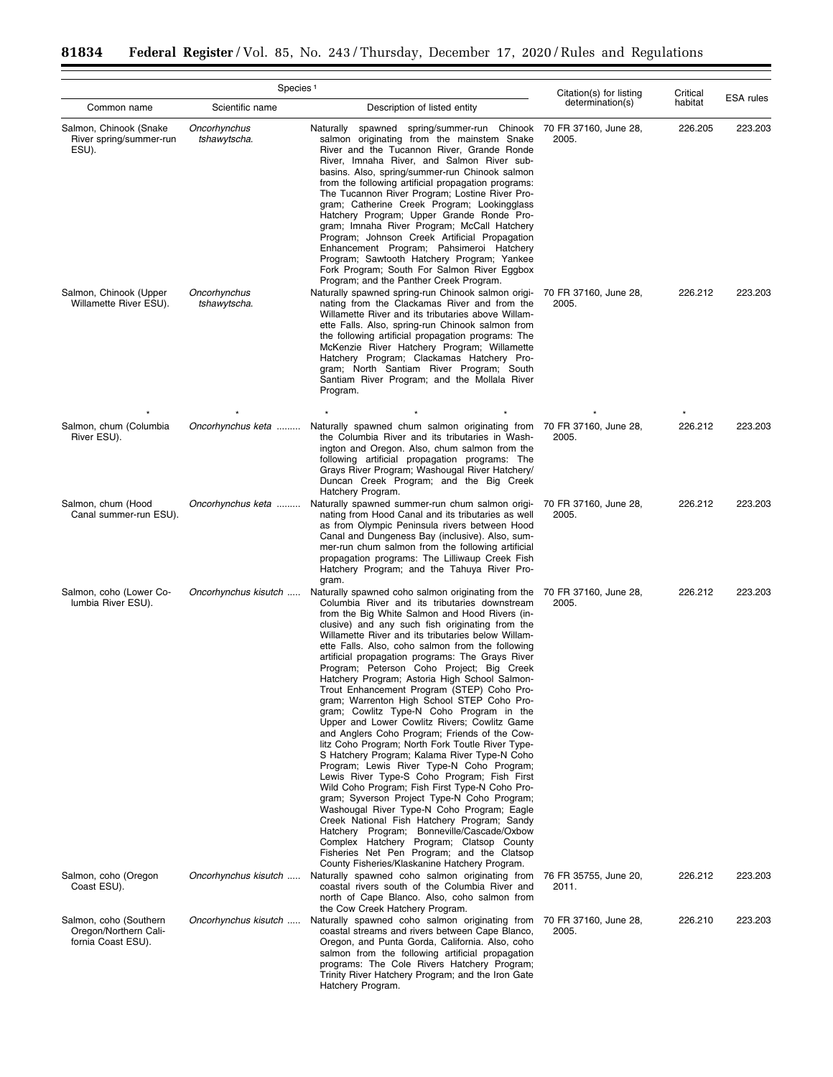÷.

 $\equiv$ 

| Species <sup>1</sup>                                                  |                              |                                                                                                                                                                                                                                                                                                                                                                                                                                                                                                                                                                                                                                                                                                                                                                                                                                                                                                                                                                                                                                                                                                                                                                                                                                                                                                      | Citation(s) for listing        | Critical | <b>ESA</b> rules |  |
|-----------------------------------------------------------------------|------------------------------|------------------------------------------------------------------------------------------------------------------------------------------------------------------------------------------------------------------------------------------------------------------------------------------------------------------------------------------------------------------------------------------------------------------------------------------------------------------------------------------------------------------------------------------------------------------------------------------------------------------------------------------------------------------------------------------------------------------------------------------------------------------------------------------------------------------------------------------------------------------------------------------------------------------------------------------------------------------------------------------------------------------------------------------------------------------------------------------------------------------------------------------------------------------------------------------------------------------------------------------------------------------------------------------------------|--------------------------------|----------|------------------|--|
| Common name                                                           | Scientific name              | Description of listed entity                                                                                                                                                                                                                                                                                                                                                                                                                                                                                                                                                                                                                                                                                                                                                                                                                                                                                                                                                                                                                                                                                                                                                                                                                                                                         | determination(s)               | habitat  |                  |  |
| Salmon, Chinook (Snake<br>River spring/summer-run<br>ESU).            | Oncorhynchus<br>tshawytscha. | Naturally spawned spring/summer-run Chinook<br>salmon originating from the mainstem Snake<br>River and the Tucannon River, Grande Ronde<br>River, Imnaha River, and Salmon River sub-<br>basins. Also, spring/summer-run Chinook salmon<br>from the following artificial propagation programs:<br>The Tucannon River Program; Lostine River Pro-<br>gram; Catherine Creek Program; Lookingglass<br>Hatchery Program; Upper Grande Ronde Pro-<br>gram; Imnaha River Program; McCall Hatchery<br>Program; Johnson Creek Artificial Propagation<br>Enhancement Program; Pahsimeroi Hatchery<br>Program; Sawtooth Hatchery Program; Yankee<br>Fork Program; South For Salmon River Eggbox<br>Program; and the Panther Creek Program.                                                                                                                                                                                                                                                                                                                                                                                                                                                                                                                                                                     | 70 FR 37160, June 28,<br>2005. | 226.205  | 223.203          |  |
| Salmon, Chinook (Upper<br>Willamette River ESU).                      | Oncorhynchus<br>tshawytscha. | Naturally spawned spring-run Chinook salmon origi-<br>nating from the Clackamas River and from the<br>Willamette River and its tributaries above Willam-<br>ette Falls. Also, spring-run Chinook salmon from<br>the following artificial propagation programs: The<br>McKenzie River Hatchery Program; Willamette<br>Hatchery Program; Clackamas Hatchery Pro-<br>gram; North Santiam River Program; South<br>Santiam River Program; and the Mollala River<br>Program.                                                                                                                                                                                                                                                                                                                                                                                                                                                                                                                                                                                                                                                                                                                                                                                                                               | 70 FR 37160, June 28,<br>2005. | 226.212  | 223,203          |  |
| Salmon, chum (Columbia                                                | Oncorhynchus keta            | Naturally spawned chum salmon originating from 70 FR 37160, June 28,                                                                                                                                                                                                                                                                                                                                                                                                                                                                                                                                                                                                                                                                                                                                                                                                                                                                                                                                                                                                                                                                                                                                                                                                                                 |                                | 226.212  | 223.203          |  |
| River ESU).                                                           |                              | the Columbia River and its tributaries in Wash-<br>ington and Oregon. Also, chum salmon from the<br>following artificial propagation programs: The<br>Grays River Program; Washougal River Hatchery/<br>Duncan Creek Program; and the Big Creek<br>Hatchery Program.                                                                                                                                                                                                                                                                                                                                                                                                                                                                                                                                                                                                                                                                                                                                                                                                                                                                                                                                                                                                                                 | 2005.                          |          |                  |  |
| Salmon, chum (Hood<br>Canal summer-run ESU).                          | Oncorhynchus keta            | Naturally spawned summer-run chum salmon origi-<br>nating from Hood Canal and its tributaries as well<br>as from Olympic Peninsula rivers between Hood<br>Canal and Dungeness Bay (inclusive). Also, sum-<br>mer-run chum salmon from the following artificial<br>propagation programs: The Lilliwaup Creek Fish<br>Hatchery Program; and the Tahuya River Pro-<br>gram.                                                                                                                                                                                                                                                                                                                                                                                                                                                                                                                                                                                                                                                                                                                                                                                                                                                                                                                             | 70 FR 37160, June 28,<br>2005. | 226.212  | 223.203          |  |
| Salmon, coho (Lower Co-<br>lumbia River ESU).                         | Oncorhynchus kisutch         | Naturally spawned coho salmon originating from the<br>Columbia River and its tributaries downstream<br>from the Big White Salmon and Hood Rivers (in-<br>clusive) and any such fish originating from the<br>Willamette River and its tributaries below Willam-<br>ette Falls. Also, coho salmon from the following<br>artificial propagation programs: The Grays River<br>Program; Peterson Coho Project; Big Creek<br>Hatchery Program; Astoria High School Salmon-<br>Trout Enhancement Program (STEP) Coho Pro-<br>gram; Warrenton High School STEP Coho Pro-<br>gram; Cowlitz Type-N Coho Program in the<br>Upper and Lower Cowlitz Rivers; Cowlitz Game<br>and Anglers Coho Program; Friends of the Cow-<br>litz Coho Program; North Fork Toutle River Type-<br>S Hatchery Program; Kalama River Type-N Coho<br>Program; Lewis River Type-N Coho Program;<br>Lewis River Type-S Coho Program; Fish First<br>Wild Coho Program; Fish First Type-N Coho Pro-<br>gram; Syverson Project Type-N Coho Program;<br>Washougal River Type-N Coho Program; Eagle<br>Creek National Fish Hatchery Program; Sandy<br>Hatchery Program; Bonneville/Cascade/Oxbow<br>Complex Hatchery Program; Clatsop County<br>Fisheries Net Pen Program; and the Clatsop<br>County Fisheries/Klaskanine Hatchery Program. | 70 FR 37160, June 28,<br>2005. | 226.212  | 223.203          |  |
| Salmon, coho (Oregon<br>Coast ESU).                                   | Oncorhynchus kisutch         | Naturally spawned coho salmon originating from<br>coastal rivers south of the Columbia River and<br>north of Cape Blanco. Also, coho salmon from<br>the Cow Creek Hatchery Program.                                                                                                                                                                                                                                                                                                                                                                                                                                                                                                                                                                                                                                                                                                                                                                                                                                                                                                                                                                                                                                                                                                                  | 76 FR 35755, June 20,<br>2011. | 226.212  | 223.203          |  |
| Salmon, coho (Southern<br>Oregon/Northern Cali-<br>fornia Coast ESU). | Oncorhynchus kisutch         | Naturally spawned coho salmon originating from<br>coastal streams and rivers between Cape Blanco,<br>Oregon, and Punta Gorda, California. Also, coho<br>salmon from the following artificial propagation<br>programs: The Cole Rivers Hatchery Program;<br>Trinity River Hatchery Program; and the Iron Gate<br>Hatchery Program.                                                                                                                                                                                                                                                                                                                                                                                                                                                                                                                                                                                                                                                                                                                                                                                                                                                                                                                                                                    | 70 FR 37160, June 28,<br>2005. | 226.210  | 223.203          |  |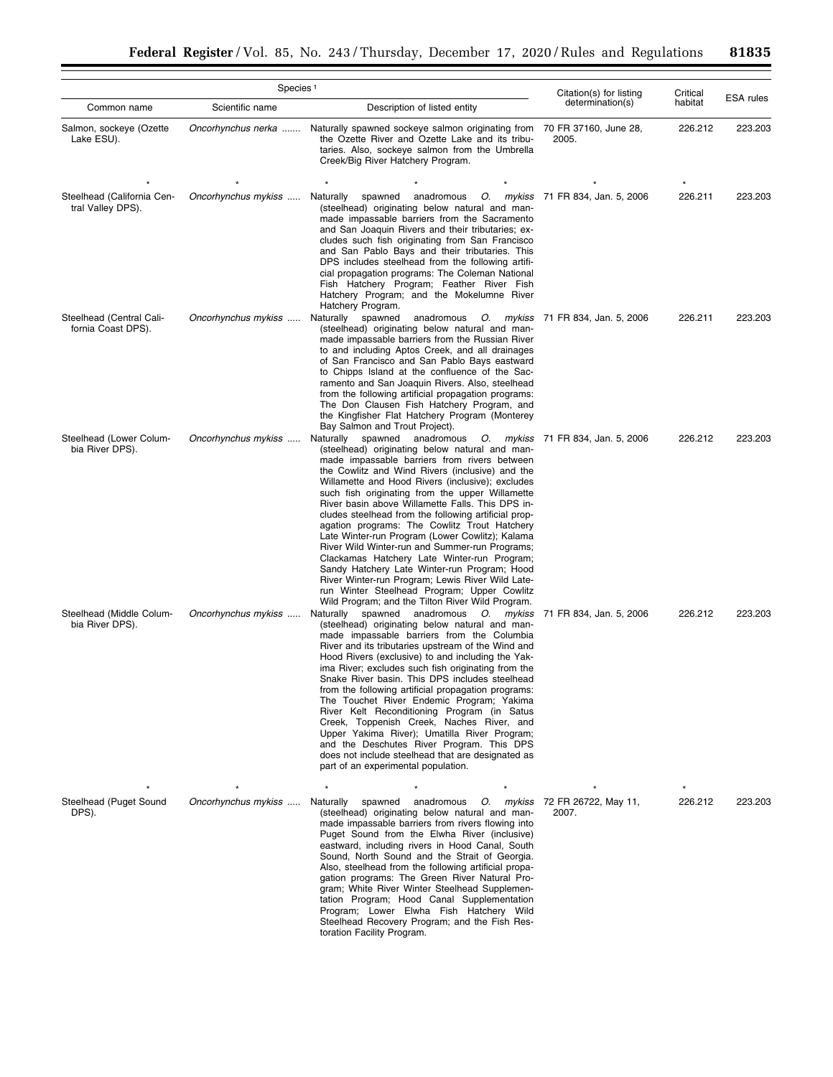|                                                 | Species <sup>1</sup> | Citation(s) for listing                                                                                                                                                                                                                                                                                                                                                                                                                                                                                                                                                                                                                                                                                                                                                                                                      | Critical                          | <b>ESA</b> rules |         |
|-------------------------------------------------|----------------------|------------------------------------------------------------------------------------------------------------------------------------------------------------------------------------------------------------------------------------------------------------------------------------------------------------------------------------------------------------------------------------------------------------------------------------------------------------------------------------------------------------------------------------------------------------------------------------------------------------------------------------------------------------------------------------------------------------------------------------------------------------------------------------------------------------------------------|-----------------------------------|------------------|---------|
| Common name                                     | Scientific name      | determination(s)                                                                                                                                                                                                                                                                                                                                                                                                                                                                                                                                                                                                                                                                                                                                                                                                             | habitat                           |                  |         |
| Salmon, sockeye (Ozette<br>Lake ESU).           | Oncorhynchus nerka   | Naturally spawned sockeye salmon originating from<br>the Ozette River and Ozette Lake and its tribu-<br>taries. Also, sockeye salmon from the Umbrella<br>Creek/Big River Hatchery Program.                                                                                                                                                                                                                                                                                                                                                                                                                                                                                                                                                                                                                                  | 70 FR 37160, June 28,<br>2005.    | 226.212          | 223.203 |
| Steelhead (California Cen-<br>tral Valley DPS). | Oncorhynchus mykiss  | anadromous<br>Naturally<br>spawned<br>(steelhead) originating below natural and man-<br>made impassable barriers from the Sacramento<br>and San Joaquin Rivers and their tributaries; ex-<br>cludes such fish originating from San Francisco<br>and San Pablo Bays and their tributaries. This<br>DPS includes steelhead from the following artifi-<br>cial propagation programs: The Coleman National<br>Fish Hatchery Program; Feather River Fish<br>Hatchery Program; and the Mokelumne River<br>Hatchery Program.                                                                                                                                                                                                                                                                                                        | O. mykiss 71 FR 834, Jan. 5, 2006 | 226.211          | 223.203 |
| Steelhead (Central Cali-<br>fornia Coast DPS).  | Oncorhynchus mykiss  | Naturally spawned<br>anadromous<br>O. mykiss<br>(steelhead) originating below natural and man-<br>made impassable barriers from the Russian River<br>to and including Aptos Creek, and all drainages<br>of San Francisco and San Pablo Bays eastward<br>to Chipps Island at the confluence of the Sac-<br>ramento and San Joaquin Rivers. Also, steelhead<br>from the following artificial propagation programs:<br>The Don Clausen Fish Hatchery Program, and<br>the Kingfisher Flat Hatchery Program (Monterey<br>Bay Salmon and Trout Project).                                                                                                                                                                                                                                                                           | 71 FR 834, Jan. 5, 2006           | 226.211          | 223.203 |
| Steelhead (Lower Colum-<br>bia River DPS).      | Oncorhynchus mykiss  | Naturally spawned<br>anadromous O. mykiss<br>(steelhead) originating below natural and man-<br>made impassable barriers from rivers between<br>the Cowlitz and Wind Rivers (inclusive) and the<br>Willamette and Hood Rivers (inclusive); excludes<br>such fish originating from the upper Willamette<br>River basin above Willamette Falls. This DPS in-<br>cludes steelhead from the following artificial prop-<br>agation programs: The Cowlitz Trout Hatchery<br>Late Winter-run Program (Lower Cowlitz); Kalama<br>River Wild Winter-run and Summer-run Programs;<br>Clackamas Hatchery Late Winter-run Program;<br>Sandy Hatchery Late Winter-run Program; Hood<br>River Winter-run Program; Lewis River Wild Late-<br>run Winter Steelhead Program; Upper Cowlitz<br>Wild Program; and the Tilton River Wild Program. | 71 FR 834, Jan. 5, 2006           | 226.212          | 223.203 |
| Steelhead (Middle Colum-<br>bia River DPS).     | Oncorhynchus mykiss  | spawned anadromous O. mykiss<br>Naturally<br>(steelhead) originating below natural and man-<br>made impassable barriers from the Columbia<br>River and its tributaries upstream of the Wind and<br>Hood Rivers (exclusive) to and including the Yak-<br>ima River; excludes such fish originating from the<br>Snake River basin. This DPS includes steelhead<br>from the following artificial propagation programs:<br>The Touchet River Endemic Program; Yakima<br>River Kelt Reconditioning Program (in Satus<br>Creek, Toppenish Creek, Naches River, and<br>Upper Yakima River); Umatilla River Program;<br>and the Deschutes River Program. This DPS<br>does not include steelhead that are designated as<br>part of an experimental population.                                                                        | 71 FR 834, Jan. 5, 2006           | 226.212          | 223.203 |
| Steelhead (Puget Sound<br>DPS).                 | Oncorhynchus mykiss  | anadromous<br>O. mykiss<br>Naturally<br>spawned<br>(steelhead) originating below natural and man-<br>made impassable barriers from rivers flowing into<br>Puget Sound from the Elwha River (inclusive)<br>eastward, including rivers in Hood Canal, South<br>Sound, North Sound and the Strait of Georgia.<br>Also, steelhead from the following artificial propa-<br>gation programs: The Green River Natural Pro-<br>gram; White River Winter Steelhead Supplemen-<br>tation Program; Hood Canal Supplementation<br>Program; Lower Elwha Fish Hatchery Wild<br>Steelhead Recovery Program; and the Fish Res-<br>toration Facility Program.                                                                                                                                                                                 | 72 FR 26722, May 11,<br>2007.     | 226.212          | 223.203 |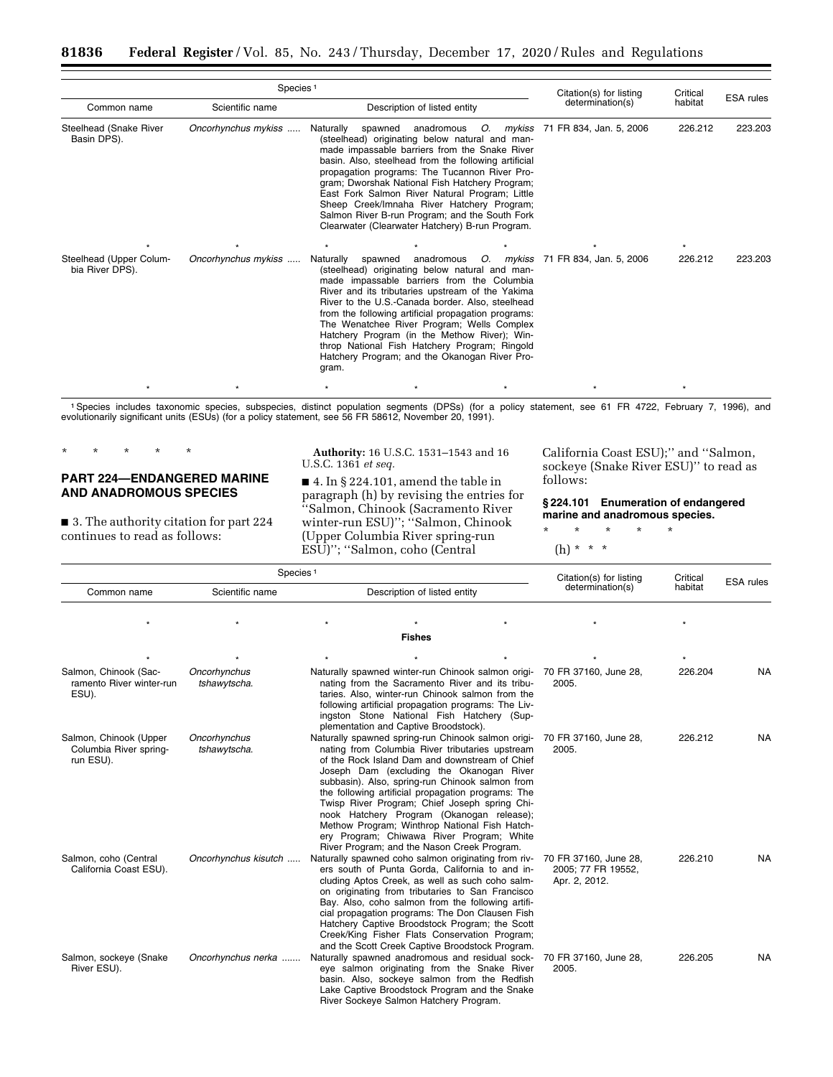|                                            | Species <sup>1</sup> |                                                                                                                                                                                                                                                                                                                                                                                                                                                                                                                                      |                    |           | Citation(s) for listing | Critical |                  |
|--------------------------------------------|----------------------|--------------------------------------------------------------------------------------------------------------------------------------------------------------------------------------------------------------------------------------------------------------------------------------------------------------------------------------------------------------------------------------------------------------------------------------------------------------------------------------------------------------------------------------|--------------------|-----------|-------------------------|----------|------------------|
| Common name                                | Scientific name      | Description of listed entity                                                                                                                                                                                                                                                                                                                                                                                                                                                                                                         |                    |           | determination(s)        | habitat  | <b>ESA</b> rules |
| Steelhead (Snake River<br>Basin DPS).      | Oncorhynchus mykiss  | Naturally<br>spawned anadromous O. mykiss 71 FR 834, Jan. 5, 2006<br>(steelhead) originating below natural and man-<br>made impassable barriers from the Snake River<br>basin. Also, steelhead from the following artificial<br>propagation programs: The Tucannon River Pro-<br>gram; Dworshak National Fish Hatchery Program;<br>East Fork Salmon River Natural Program; Little<br>Sheep Creek/Imnaha River Hatchery Program;<br>Salmon River B-run Program; and the South Fork<br>Clearwater (Clearwater Hatchery) B-run Program. |                    |           |                         | 226.212  | 223.203          |
| Steelhead (Upper Colum-<br>bia River DPS). | Oncorhynchus mykiss  | Naturally<br>(steelhead) originating below natural and man-<br>made impassable barriers from the Columbia<br>River and its tributaries upstream of the Yakima<br>River to the U.S.-Canada border. Also, steelhead<br>from the following artificial propagation programs:<br>The Wenatchee River Program; Wells Complex<br>Hatchery Program (in the Methow River); Win-<br>throp National Fish Hatchery Program; Ringold<br>Hatchery Program; and the Okanogan River Pro-<br>gram.                                                    | spawned anadromous | O. mykiss | 71 FR 834, Jan. 5, 2006 | 226.212  | 223.203          |
|                                            |                      |                                                                                                                                                                                                                                                                                                                                                                                                                                                                                                                                      |                    |           |                         |          |                  |

<sup>1</sup> Species includes taxonomic species, subspecies, distinct population segments (DPSs) (for a policy statement, see 61 FR 4722, February 7, 1996), and evolutionarily significant units (ESUs) (for a policy statement, see 5

\* \* \* \* \*

# **PART 224—ENDANGERED MARINE AND ANADROMOUS SPECIES**

■ 3. The authority citation for part 224 continues to read as follows:

**Authority:** 16 U.S.C. 1531–1543 and 16 U.S.C. 1361 *et seq.* 

 $\blacksquare$  4. In § 224.101, amend the table in paragraph (h) by revising the entries for ''Salmon, Chinook (Sacramento River winter-run ESU)''; ''Salmon, Chinook (Upper Columbia River spring-run ESU)''; ''Salmon, coho (Central

California Coast ESU);'' and ''Salmon, sockeye (Snake River ESU)'' to read as follows:

**§ 224.101 Enumeration of endangered marine and anadromous species.** 

\* \* \* \* \*

(h) \* \* \*

| Species <sup>1</sup>                                          |                              |                                                                                                                                                                                                                                                                                                                                                                                                                                                                                                                                                         |  | Citation(s) for listing                                      | Critical | <b>ESA</b> rules |
|---------------------------------------------------------------|------------------------------|---------------------------------------------------------------------------------------------------------------------------------------------------------------------------------------------------------------------------------------------------------------------------------------------------------------------------------------------------------------------------------------------------------------------------------------------------------------------------------------------------------------------------------------------------------|--|--------------------------------------------------------------|----------|------------------|
| Common name                                                   | Scientific name              | Description of listed entity                                                                                                                                                                                                                                                                                                                                                                                                                                                                                                                            |  | determination(s)                                             | habitat  |                  |
|                                                               |                              | <b>Fishes</b>                                                                                                                                                                                                                                                                                                                                                                                                                                                                                                                                           |  |                                                              |          |                  |
|                                                               |                              |                                                                                                                                                                                                                                                                                                                                                                                                                                                                                                                                                         |  |                                                              |          |                  |
| Salmon, Chinook (Sac-<br>ramento River winter-run<br>ESU).    | Oncorhynchus<br>tshawytscha. | Naturally spawned winter-run Chinook salmon origi-<br>nating from the Sacramento River and its tribu-<br>taries. Also, winter-run Chinook salmon from the<br>following artificial propagation programs: The Liv-<br>ingston Stone National Fish Hatchery (Sup-<br>plementation and Captive Broodstock).                                                                                                                                                                                                                                                 |  | 70 FR 37160, June 28,<br>2005.                               | 226.204  | <b>NA</b>        |
| Salmon, Chinook (Upper<br>Columbia River spring-<br>run ESU). | Oncorhynchus<br>tshawytscha. | Naturally spawned spring-run Chinook salmon origi-<br>nating from Columbia River tributaries upstream<br>of the Rock Island Dam and downstream of Chief<br>Joseph Dam (excluding the Okanogan River<br>subbasin). Also, spring-run Chinook salmon from<br>the following artificial propagation programs: The<br>Twisp River Program; Chief Joseph spring Chi-<br>nook Hatchery Program (Okanogan release);<br>Methow Program; Winthrop National Fish Hatch-<br>ery Program; Chiwawa River Program; White<br>River Program; and the Nason Creek Program. |  | 70 FR 37160, June 28,<br>2005.                               | 226.212  | <b>NA</b>        |
| Salmon, coho (Central<br>California Coast ESU).               | Oncorhynchus kisutch         | Naturally spawned coho salmon originating from riv-<br>ers south of Punta Gorda, California to and in-<br>cluding Aptos Creek, as well as such coho salm-<br>on originating from tributaries to San Francisco<br>Bay. Also, coho salmon from the following artifi-<br>cial propagation programs: The Don Clausen Fish<br>Hatchery Captive Broodstock Program; the Scott<br>Creek/King Fisher Flats Conservation Program;<br>and the Scott Creek Captive Broodstock Program.                                                                             |  | 70 FR 37160, June 28,<br>2005; 77 FR 19552,<br>Apr. 2, 2012. | 226.210  | <b>NA</b>        |
| Salmon, sockeye (Snake<br>River ESU).                         | Oncorhynchus nerka           | Naturally spawned anadromous and residual sock-<br>eye salmon originating from the Snake River<br>basin. Also, sockeye salmon from the Redfish<br>Lake Captive Broodstock Program and the Snake<br>River Sockeye Salmon Hatchery Program.                                                                                                                                                                                                                                                                                                               |  | 70 FR 37160, June 28,<br>2005.                               | 226.205  | <b>NA</b>        |